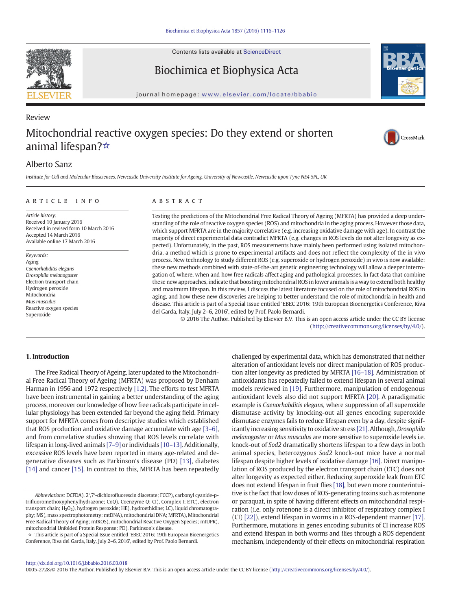

Contents lists available at ScienceDirect

## Biochimica et Biophysica Acta



# Review Mitochondrial reactive oxygen species: Do they extend or shorten animal lifespan?☆





## Alberto Sanz

Institute for Cell and Molecular Biosciences, Newcastle University Institute for Ageing, University of Newcastle, Newcastle upon Tyne NE4 5PL, UK

#### article info abstract

Article history: Received 10 January 2016 Received in revised form 10 March 2016 Accepted 14 March 2016 Available online 17 March 2016

Keywords: Aging Caenorhabditis elegans Drosophila melanogaster Electron transport chain Hydrogen peroxide Mitochondria Mus musculus Reactive oxygen species Superoxide

Testing the predictions of the Mitochondrial Free Radical Theory of Ageing (MFRTA) has provided a deep understanding of the role of reactive oxygen species (ROS) and mitochondria in the aging process. However those data, which support MFRTA are in the majority correlative (e.g. increasing oxidative damage with age). In contrast the majority of direct experimental data contradict MFRTA (e.g. changes in ROS levels do not alter longevity as expected). Unfortunately, in the past, ROS measurements have mainly been performed using isolated mitochondria, a method which is prone to experimental artifacts and does not reflect the complexity of the in vivo process. New technology to study different ROS (e.g. superoxide or hydrogen peroxide) in vivo is now available; these new methods combined with state-of-the-art genetic engineering technology will allow a deeper interrogation of, where, when and how free radicals affect aging and pathological processes. In fact data that combine these new approaches, indicate that boosting mitochondrial ROS in lower animals is a way to extend both healthy and maximum lifespan. In this review, I discuss the latest literature focused on the role of mitochondrial ROS in aging, and how these new discoveries are helping to better understand the role of mitochondria in health and disease. This article is part of a Special Issue entitled 'EBEC 2016: 19th European Bioenergetics Conference, Riva del Garda, Italy, July 2–6, 2016', edited by Prof. Paolo Bernardi.

© 2016 The Author. Published by Elsevier B.V. This is an open access article under the CC BY license [\(http://creativecommons.org/licenses/by/4.0/](http://creativecommons.org/licenses/by/4.0/)).

### 1. Introduction

The Free Radical Theory of Ageing, later updated to the Mitochondrial Free Radical Theory of Ageing (MFRTA) was proposed by Denham Harman in 1956 and 1972 respectively [\[1,2\].](#page-7-0) The efforts to test MFRTA have been instrumental in gaining a better understanding of the aging process, moreover our knowledge of how free radicals participate in cellular physiology has been extended far beyond the aging field. Primary support for MFRTA comes from descriptive studies which established that ROS production and oxidative damage accumulate with age [\[3](#page-7-0)–6], and from correlative studies showing that ROS levels correlate with lifespan in long-lived animals [\[7](#page-7-0)–9] or individuals [\[10](#page-7-0)–13]. Additionally, excessive ROS levels have been reported in many age-related and degenerative diseases such as Parkinson's disease (PD) [\[13\]](#page-7-0), diabetes [\[14\]](#page-7-0) and cancer [\[15\]](#page-7-0). In contrast to this, MFRTA has been repeatedly

challenged by experimental data, which has demonstrated that neither alteration of antioxidant levels nor direct manipulation of ROS production alter longevity as predicted by MFRTA [\[16](#page-7-0)–18]. Administration of antioxidants has repeatedly failed to extend lifespan in several animal models reviewed in [\[19\].](#page-7-0) Furthermore, manipulation of endogenous antioxidant levels also did not support MFRTA [\[20\]](#page-7-0). A paradigmatic example is Caenorhabditis elegans, where suppression of all superoxide dismutase activity by knocking-out all genes encoding superoxide dismutase enzymes fails to reduce lifespan even by a day, despite significantly increasing sensitivity to oxidative stress [\[21\].](#page-7-0) Although, Drosophila melanogaster or Mus musculus are more sensitive to superoxide levels i.e. knock-out of Sod2 dramatically shortens lifespan to a few days in both animal species, heterozygous Sod2 knock-out mice have a normal lifespan despite higher levels of oxidative damage [\[16\].](#page-7-0) Direct manipulation of ROS produced by the electron transport chain (ETC) does not alter longevity as expected either. Reducing superoxide leak from ETC does not extend lifespan in fruit flies [\[18\],](#page-7-0) but even more counterintuitive is the fact that low doses of ROS-generating toxins such as rotenone or paraquat, in spite of having different effects on mitochondrial respiration (i.e. only rotenone is a direct inhibitor of respiratory complex I (CI) [\[22\]](#page-7-0)), extend lifespan in worms in a ROS-dependent manner [\[17\].](#page-7-0) Furthermore, mutations in genes encoding subunits of CI increase ROS and extend lifespan in both worms and flies through a ROS dependent mechanism, independently of their effects on mitochondrial respiration

0005-2728/© 2016 The Author. Published by Elsevier B.V. This is an open access article under the CC BY license (<http://creativecommons.org/licenses/by/4.0/>).

Abbreviations: DCFDA), 2′,7′-dichlorofluorescin diacetate; FCCP), carbonyl cyanide-ptrifluoromethoxyphenylhydrazone; CoQ), Coenzyme Q; CI), Complex I; ETC), electron transport chain;  $H_2O_2$ ), hydrogen peroxide; HE), hydroethidine; LC), liquid chromatography; MS), mass spectrophotometry; mtDNA), mitochondrial DNA; MFRTA), Mitochondrial Free Radical Theory of Aging; mtROS), mitochondrial Reactive Oxygen Species; mtUPR), mitochondrial Unfolded Protein Response; PD), Parkinson's disease.

<sup>☆</sup> This article is part of a Special Issue entitled 'EBEC 2016: 19th European Bioenergetics Conference, Riva del Garda, Italy, July 2–6, 2016', edited by Prof. Paolo Bernardi.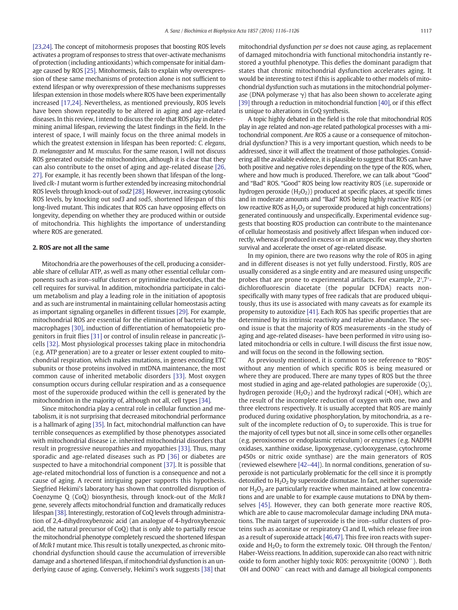[\[23,24\]](#page-7-0). The concept of mitohormesis proposes that boosting ROS levels activates a program of responses to stress that over-activate mechanisms of protection (including antioxidants) which compensate for initial damage caused by ROS [\[25\]](#page-7-0). Mitohormesis, fails to explain why overexpression of these same mechanisms of protection alone is not sufficient to extend lifespan or why overexpression of these mechanisms suppresses lifespan extension in those models where ROS have been experimentally increased [\[17,24\]](#page-7-0). Nevertheless, as mentioned previously, ROS levels have been shown repeatedly to be altered in aging and age-related diseases. In this review, I intend to discuss the role that ROS play in determining animal lifespan, reviewing the latest findings in the field. In the interest of space, I will mainly focus on the three animal models in which the greatest extension in lifespan has been reported: C. elegans, D. melanogaster and M. musculus. For the same reason, I will not discuss ROS generated outside the mitochondrion, although it is clear that they can also contribute to the onset of aging and age-related disease [\[26,](#page-7-0) [27\]](#page-7-0). For example, it has recently been shown that lifespan of the longlived clk-1 mutant worm is further extended by increasing mitochondrial ROS levels through knock-out of sod2 [\[28\]](#page-7-0). However, increasing cytosolic ROS levels, by knocking out sod3 and sod5, shortened lifespan of this long-lived mutant. This indicates that ROS can have opposing effects on longevity, depending on whether they are produced within or outside of mitochondria. This highlights the importance of understanding where ROS are generated.

#### 2. ROS are not all the same

Mitochondria are the powerhouses of the cell, producing a considerable share of cellular ATP, as well as many other essential cellular components such as iron–sulfur clusters or pyrimidine nucleotides, that the cell requires for survival. In addition, mitochondria participate in calcium metabolism and play a leading role in the initiation of apoptosis and as such are instrumental in maintaining cellular homeostasis acting as important signaling organelles in different tissues [\[29\]](#page-7-0). For example, mitochondrial ROS are essential for the elimination of bacteria by the macrophages [\[30\]](#page-7-0), induction of differentiation of hematopoietic progenitors in fruit flies [\[31\]](#page-7-0) or control of insulin release in pancreatic βcells [\[32\].](#page-7-0) Most physiological processes taking place in mitochondria (e.g. ATP generation) are to a greater or lesser extent coupled to mitochondrial respiration, which makes mutations, in genes encoding ETC subunits or those proteins involved in mtDNA maintenance, the most common cause of inherited metabolic disorders [\[33\]](#page-7-0). Most oxygen consumption occurs during cellular respiration and as a consequence most of the superoxide produced within the cell is generated by the mitochondrion in the majority of, although not all, cell types [\[34\]](#page-7-0).

Since mitochondria play a central role in cellular function and metabolism, it is not surprising that decreased mitochondrial performance is a hallmark of aging [\[35\].](#page-7-0) In fact, mitochondrial malfunction can have terrible consequences as exemplified by those phenotypes associated with mitochondrial disease i.e. inherited mitochondrial disorders that result in progressive neuropathies and myopathies [\[33\]](#page-7-0). Thus, many sporadic and age-related diseases such as PD [\[36\]](#page-7-0) or diabetes are suspected to have a mitochondrial component [\[37\].](#page-8-0) It is possible that age-related mitochondrial loss of function is a consequence and not a cause of aging. A recent intriguing paper supports this hypothesis. Siegfried Hekimi's laboratory has shown that controlled disruption of Coenzyme Q (CoQ) biosynthesis, through knock-out of the Mclk1 gene, severely affects mitochondrial function and dramatically reduces lifespan [\[38\].](#page-8-0) Interestingly, restoration of CoQ levels through administration of 2,4-dihydroxybenzoic acid (an analogue of 4-hydroxybenzoic acid, the natural precursor of CoQ) that is only able to partially rescue the mitochondrial phenotype completely rescued the shortened lifespan of Mclk1 mutant mice. This result is totally unexpected, as chronic mitochondrial dysfunction should cause the accumulation of irreversible damage and a shortened lifespan, if mitochondrial dysfunction is an underlying cause of aging. Conversely, Hekimi's work suggests [\[38\]](#page-8-0) that mitochondrial dysfunction per se does not cause aging, as replacement of damaged mitochondria with functional mitochondria instantly restored a youthful phenotype. This defies the dominant paradigm that states that chronic mitochondrial dysfunction accelerates aging. It would be interesting to test if this is applicable to other models of mitochondrial dysfunction such as mutations in the mitochondrial polymerase (DNA polymerase  $\gamma$ ) that has also been shown to accelerate aging [\[39\]](#page-8-0) through a reduction in mitochondrial function [\[40\],](#page-8-0) or if this effect is unique to alterations in CoQ synthesis.

A topic highly debated in the field is the role that mitochondrial ROS play in age related and non-age related pathological processes with a mitochondrial component. Are ROS a cause or a consequence of mitochondrial dysfunction? This is a very important question, which needs to be addressed, since it will affect the treatment of those pathologies. Considering all the available evidence, it is plausible to suggest that ROS can have both positive and negative roles depending on the type of the ROS, when, where and how much is produced. Therefore, we can talk about "Good" and "Bad" ROS. "Good" ROS being low reactivity ROS (i.e. superoxide or hydrogen peroxide  $(H_2O_2)$ ) produced at specific places, at specific times and in moderate amounts and "Bad" ROS being highly reactive ROS (or low reactive ROS as  $H_2O_2$  or superoxide produced at high concentrations) generated continuously and unspecifically. Experimental evidence suggests that boosting ROS production can contribute to the maintenance of cellular homeostasis and positively affect lifespan when induced correctly, whereas if produced in excess or in an unspecific way, they shorten survival and accelerate the onset of age-related disease.

In my opinion, there are two reasons why the role of ROS in aging and in different diseases is not yet fully understood. Firstly, ROS are usually considered as a single entity and are measured using unspecific probes that are prone to experimental artifacts. For example, 2′,7′ dichlorofluorescin diacetate (the popular DCFDA) reacts nonspecifically with many types of free radicals that are produced ubiquitously, thus its use is associated with many caveats as for example its propensity to autoxidize [\[41\].](#page-8-0) Each ROS has specific properties that are determined by its intrinsic reactivity and relative abundance. The second issue is that the majority of ROS measurements -in the study of aging and age-related diseases- have been performed in vitro using isolated mitochondria or cells in culture. I will discuss the first issue now, and will focus on the second in the following section.

As previously mentioned, it is common to see reference to "ROS" without any mention of which specific ROS is being measured or where they are produced. There are many types of ROS but the three most studied in aging and age-related pathologies are superoxide  $(O<sub>2</sub>)$ , hydrogen peroxide  $(H_2O_2)$  and the hydroxyl radical ( $\bullet$ OH), which are the result of the incomplete reduction of oxygen with one, two and three electrons respectively. It is usually accepted that ROS are mainly produced during oxidative phosphorylation, by mitochondria, as a result of the incomplete reduction of  $O<sub>2</sub>$  to superoxide. This is true for the majority of cell types but not all, since in some cells other organelles (e.g. peroxisomes or endoplasmic reticulum) or enzymes (e.g. NADPH oxidases, xanthine oxidase, lipoxygenase, cyclooxygenase, cytochrome p450s or nitric oxide synthase) are the main generators of ROS (reviewed elsewhere [42–[44\]\)](#page-8-0). In normal conditions, generation of superoxide is not particularly problematic for the cell since it is promptly detoxified to  $H_2O_2$  by superoxide dismutase. In fact, neither superoxide nor  $H_2O_2$  are particularly reactive when maintained at low concentrations and are unable to for example cause mutations to DNA by themselves [\[45\]](#page-8-0). However, they can both generate more reactive ROS, which are able to cause macromolecular damage including DNA mutations. The main target of superoxide is the iron–sulfur clusters of proteins such as aconitase or respiratory CI and II, which release free iron as a result of superoxide attack [\[46,47\].](#page-8-0) This free iron reacts with superoxide and  $H_2O_2$  to form the extremely toxic. OH through the Fenton/ Haber-Weiss reactions. In addition, superoxide can also react with nitric oxide to form another highly toxic ROS: peroxynitrite (OONO−). Both . OH and OONO<sup>−</sup> can react with and damage all biological components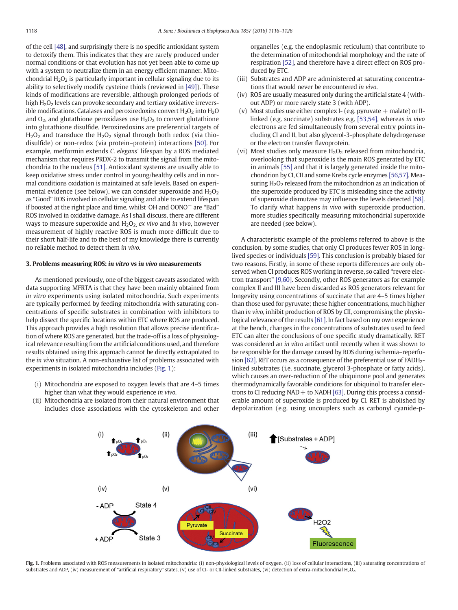of the cell [\[48\]](#page-8-0), and surprisingly there is no specific antioxidant system to detoxify them. This indicates that they are rarely produced under normal conditions or that evolution has not yet been able to come up with a system to neutralize them in an energy efficient manner. Mitochondrial  $H_2O_2$  is particularly important in cellular signaling due to its ability to selectively modify cysteine thiols (reviewed in [\[49\]](#page-8-0)). These kinds of modifications are reversible, although prolonged periods of high  $H_2O_2$  levels can provoke secondary and tertiary oxidative irreversible modifications. Catalases and peroxiredoxins convert  $H_2O_2$  into  $H_2O$ and  $O_2$ , and glutathione peroxidases use  $H_2O_2$  to convert glutathione into glutathione disulfide. Peroxiredoxins are preferential targets of  $H<sub>2</sub>O<sub>2</sub>$  and transduce the  $H<sub>2</sub>O<sub>2</sub>$  signal through both redox (via thiodisulfide) or non-redox (via protein–protein) interactions [\[50\]](#page-8-0). For example, metformin extends C. elegans' lifespan by a ROS mediated mechanism that requires PRDX-2 to transmit the signal from the mitochondria to the nucleus [\[51\]](#page-8-0). Antioxidant systems are usually able to keep oxidative stress under control in young/healthy cells and in normal conditions oxidation is maintained at safe levels. Based on experimental evidence (see below), we can consider superoxide and  $H_2O_2$ as "Good" ROS involved in cellular signaling and able to extend lifespan if boosted at the right place and time, whilst OH and OONO<sup>−</sup> are "Bad" ROS involved in oxidative damage. As I shall discuss, there are different ways to measure superoxide and  $H_2O_2$  ex vivo and in vivo, however measurement of highly reactive ROS is much more difficult due to their short half-life and to the best of my knowledge there is currently no reliable method to detect them in vivo.

#### 3. Problems measuring ROS: in vitro vs in vivo measurements

As mentioned previously, one of the biggest caveats associated with data supporting MFRTA is that they have been mainly obtained from in vitro experiments using isolated mitochondria. Such experiments are typically performed by feeding mitochondria with saturating concentrations of specific substrates in combination with inhibitors to help dissect the specific locations within ETC where ROS are produced. This approach provides a high resolution that allows precise identification of where ROS are generated, but the trade-off is a loss of physiological relevance resulting from the artificial conditions used, and therefore results obtained using this approach cannot be directly extrapolated to the in vivo situation. A non-exhaustive list of problems associated with experiments in isolated mitochondria includes (Fig. 1):

- (i) Mitochondria are exposed to oxygen levels that are 4–5 times higher than what they would experience in vivo.
- (ii) Mitochondria are isolated from their natural environment that includes close associations with the cytoskeleton and other

organelles (e.g. the endoplasmic reticulum) that contribute to the determination of mitochondrial morphology and the rate of respiration [\[52\]](#page-8-0), and therefore have a direct effect on ROS produced by ETC.

- (iii) Substrates and ADP are administered at saturating concentrations that would never be encountered in vivo.
- (iv) ROS are usually measured only during the artificial state 4 (without ADP) or more rarely state 3 (with ADP).
- (v) Most studies use either complex I- (e.g. pyruvate  $+$  malate) or IIlinked (e.g. succinate) substrates e.g. [\[53,54\],](#page-8-0) whereas in vivo electrons are fed simultaneously from several entry points including CI and II, but also glycerol-3-phosphate dehydrogenase or the electron transfer flavoprotein.
- (vi) Most studies only measure  $H_2O_2$  released from mitochondria, overlooking that superoxide is the main ROS generated by ETC in animals [\[55\]](#page-8-0) and that it is largely generated inside the mitochondrion by CI, CII and some Krebs cycle enzymes [\[56,57\].](#page-8-0) Measuring  $H_2O_2$  released from the mitochondrion as an indication of the superoxide produced by ETC is misleading since the activity of superoxide dismutase may influence the levels detected [\[58\].](#page-8-0) To clarify what happens in vivo with superoxide production, more studies specifically measuring mitochondrial superoxide are needed (see below).

A characteristic example of the problems referred to above is the conclusion, by some studies, that only CI produces fewer ROS in longlived species or individuals [\[59\].](#page-8-0) This conclusion is probably biased for two reasons. Firstly, in some of these reports differences are only observed when CI produces ROS working in reverse, so called "revere electron transport" [\[9,60\].](#page-7-0) Secondly, other ROS generators as for example complex II and III have been discarded as ROS generators relevant for longevity using concentrations of succinate that are 4–5 times higher than those used for pyruvate; these higher concentrations, much higher than in vivo, inhibit production of ROS by CII, compromising the physiological relevance of the results [\[61\]](#page-8-0). In fact based on my own experience at the bench, changes in the concentrations of substrates used to feed ETC can alter the conclusions of one specific study dramatically. RET was considered an in vitro artifact until recently when it was shown to be responsible for the damage caused by ROS during ischemia–reperfu-sion [\[62\].](#page-8-0) RET occurs as a consequence of the preferential use of FADH<sub>2</sub>linked substrates (i.e. succinate, glycerol 3-phosphate or fatty acids), which causes an over-reduction of the ubiquinone pool and generates thermodynamically favorable conditions for ubiquinol to transfer electrons to CI reducing  $NAD +$  to  $NADH$  [\[63\]](#page-8-0). During this process a considerable amount of superoxide is produced by CI. RET is abolished by depolarization (e.g. using uncouplers such as carbonyl cyanide-p-



Fig. 1. Problems associated with ROS measurements in isolated mitochondria: (i) non-physiological levels of oxygen, (ii) loss of cellular interactions, (iii) saturating concentrations of substrates and ADP, (iv) measurement of "artificial respiratory" states, (v) use of CI- or CII-linked substrates, (vi) detection of extra-mitochondrial H2O2.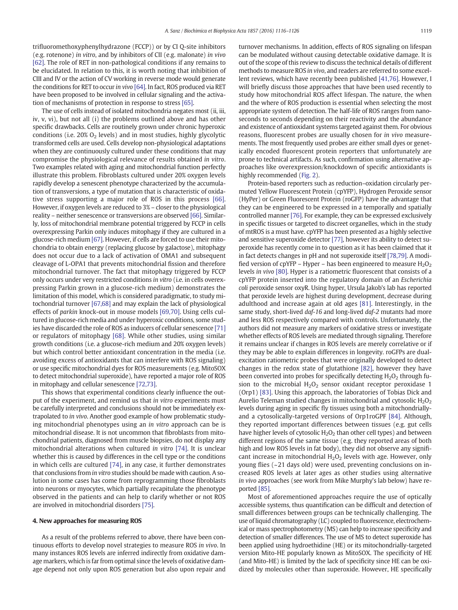trifluoromethoxyphenylhydrazone (FCCP)) or by CI Q-site inhibitors (e.g. rotenone) in vitro, and by inhibitors of CII (e.g. malonate) in vivo [\[62\]](#page-8-0). The role of RET in non-pathological conditions if any remains to be elucidated. In relation to this, it is worth noting that inhibition of CIII and IV or the action of CV working in reverse mode would generate the conditions for RET to occur in vivo [\[64\].](#page-8-0) In fact, ROS produced via RET have been proposed to be involved in cellular signaling and the activation of mechanisms of protection in response to stress [\[65\].](#page-8-0)

The use of cells instead of isolated mitochondria negates most (ii, iii, iv, v, vi), but not all (i) the problems outlined above and has other specific drawbacks. Cells are routinely grown under chronic hyperoxic conditions (i.e. 20%  $O_2$  levels) and in most studies, highly glycolytic transformed cells are used. Cells develop non-physiological adaptations when they are continuously cultured under these conditions that may compromise the physiological relevance of results obtained in vitro. Two examples related with aging and mitochondrial function perfectly illustrate this problem. Fibroblasts cultured under 20% oxygen levels rapidly develop a senescent phenotype characterized by the accumulation of transversions, a type of mutation that is characteristic of oxidative stress supporting a major role of ROS in this process [\[66\].](#page-8-0) However, if oxygen levels are reduced to 3% – closer to the physiological reality – neither senescence or transversions are observed [\[66\].](#page-8-0) Similarly, loss of mitochondrial membrane potential triggered by FCCP in cells overexpressing Parkin only induces mitophagy if they are cultured in a glucose-rich medium [\[67\]](#page-8-0). However, if cells are forced to use their mitochondria to obtain energy (replacing glucose by galactose), mitophagy does not occur due to a lack of activation of OMA1 and subsequent cleavage of L-OPA1 that prevents mitochondrial fission and therefore mitochondrial turnover. The fact that mitophagy triggered by FCCP only occurs under very restricted conditions in vitro (i.e. in cells overexpressing Parkin grown in a glucose-rich medium) demonstrates the limitation of this model, which is considered paradigmatic, to study mitochondrial turnover [\[67,68\]](#page-8-0) and may explain the lack of physiological effects of parkin knock-out in mouse models [\[69,70\].](#page-8-0) Using cells cultured in glucose-rich media and under hyperoxic conditions, some studies have discarded the role of ROS as inducers of cellular senescence [\[71\]](#page-8-0) or regulators of mitophagy [\[68\].](#page-8-0) While other studies, using similar growth conditions (i.e. a glucose-rich medium and 20% oxygen levels) but which control better antioxidant concentration in the media (i.e. avoiding excess of antioxidants that can interfere with ROS signaling) or use specific mitochondrial dyes for ROS measurements (e.g. MitoSOX to detect mitochondrial superoxide), have reported a major role of ROS in mitophagy and cellular senescence [\[72,73\]](#page-8-0).

This shows that experimental conditions clearly influence the output of the experiment, and remind us that in vitro experiments must be carefully interpreted and conclusions should not be immediately extrapolated to in vivo. Another good example of how problematic studying mitochondrial phenotypes using an in vitro approach can be is mitochondrial disease. It is not uncommon that fibroblasts from mitochondrial patients, diagnosed from muscle biopsies, do not display any mitochondrial alterations when cultured in vitro [\[74\]](#page-8-0). It is unclear whether this is caused by differences in the cell type or the conditions in which cells are cultured [\[74\]](#page-8-0), in any case, it further demonstrates that conclusions from in vitro studies should be made with caution. A solution in some cases has come from reprogramming those fibroblasts into neurons or myocytes, which partially recapitulate the phenotype observed in the patients and can help to clarify whether or not ROS are involved in mitochondrial disorders [\[75\]](#page-8-0).

#### 4. New approaches for measuring ROS

As a result of the problems referred to above, there have been continuous efforts to develop novel strategies to measure ROS in vivo. In many instances ROS levels are inferred indirectly from oxidative damage markers, which is far from optimal since the levels of oxidative damage depend not only upon ROS generation but also upon repair and turnover mechanisms. In addition, effects of ROS signaling on lifespan can be modulated without causing detectable oxidative damage. It is out of the scope of this review to discuss the technical details of different methods to measure ROS in vivo, and readers are referred to some excellent reviews, which have recently been published [\[41,76\]](#page-8-0). However, I will briefly discuss those approaches that have been used recently to study how mitochondrial ROS affect lifespan. The nature, the when and the where of ROS production is essential when selecting the most appropriate system of detection. The half-life of ROS ranges from nanoseconds to seconds depending on their reactivity and the abundance and existence of antioxidant systems targeted against them. For obvious reasons, fluorescent probes are usually chosen for in vivo measurements. The most frequently used probes are either small dyes or genetically encoded fluorescent protein reporters that unfortunately are prone to technical artifacts. As such, confirmation using alternative approaches like overexpression/knockdown of specific antioxidants is highly recommended [\(Fig. 2\)](#page-4-0).

Protein-based reporters such as reduction–oxidation circularly permuted Yellow Fluorescent Protein (cpYFP), Hydrogen Peroxide sensor (HyPer) or Green Fluorescent Protein (roGFP) have the advantage that they can be engineered to be expressed in a temporally and spatially controlled manner [\[76\]](#page-8-0). For example, they can be expressed exclusively in specific tissues or targeted to discreet organelles, which in the study of mtROS is a must have. cpYFP has been presented as a highly selective and sensitive superoxide detector [\[77\],](#page-8-0) however its ability to detect superoxide has recently come in to question as it has been claimed that it in fact detects changes in pH and not superoxide itself [\[78,79\].](#page-8-0) A modified version of cpYFP – Hyper – has been engineered to measure  $H_2O_2$ levels in vivo [\[80\]](#page-8-0). Hyper is a ratiometric fluorescent that consists of a cpYFP protein inserted into the regulatory domain of an Escherichia coli peroxide sensor oxyR. Using hyper, Ursula Jakob's lab has reported that peroxide levels are highest during development, decrease during adulthood and increase again at old ages [\[81\].](#page-8-0) Interestingly, in the same study, short-lived *daf-16* and long-lived *daf-2* mutants had more and less ROS respectively compared with controls. Unfortunately, the authors did not measure any markers of oxidative stress or investigate whether effects of ROS levels are mediated through signaling. Therefore it remains unclear if changes in ROS levels are merely correlative or if they may be able to explain differences in longevity. roGFPs are dualexcitation ratiometric probes that were originally developed to detect changes in the redox state of glutathione [\[82\]](#page-8-0), however they have been converted into probes for specifically detecting  $H_2O_2$  through fusion to the microbial  $H_2O_2$  sensor oxidant receptor peroxidase 1 (Orp1) [\[83\]](#page-8-0). Using this approach, the laboratories of Tobias Dick and Aurelio Teleman studied changes in mitochondrial and cytosolic  $H_2O_2$ levels during aging in specific fly tissues using both a mitochondriallyand a cytosolically-targeted versions of Orp1roGPF [\[84\].](#page-8-0) Although, they reported important differences between tissues (e.g. gut cells have higher levels of cytosolic  $H_2O_2$  than other cell types) and between different regions of the same tissue (e.g. they reported areas of both high and low ROS levels in fat body), they did not observe any significant increase in mitochondrial  $H_2O_2$  levels with age. However, only young flies (~21 days old) were used, preventing conclusions on increased ROS levels at later ages as other studies using alternative in vivo approaches (see work from Mike Murphy's lab below) have reported [\[85\].](#page-8-0)

Most of aforementioned approaches require the use of optically accessible systems, thus quantification can be difficult and detection of small differences between groups can be technically challenging. The use of liquid chromatography (LC) coupled to fluorescence, electrochemical or mass spectrophotometry (MS) can help to increase specificity and detection of smaller differences. The use of MS to detect superoxide has been applied using hydroethidine (HE) or its mitochondrially-targeted version Mito-HE popularly known as MitoSOX. The specificity of HE (and Mito-HE) is limited by the lack of specificity since HE can be oxidized by molecules other than superoxide. However, HE specifically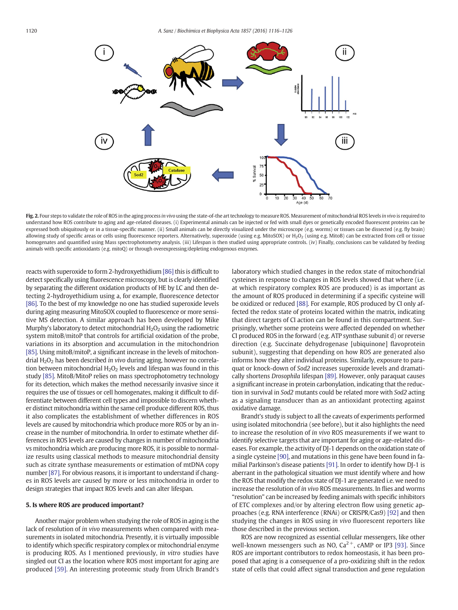<span id="page-4-0"></span>

Fig. 2. Four steps to validate the role of ROS in the aging process in vivo using the state-of-the art technology to measure ROS. Measurement of mitochondrial ROS levels in vivo is required to understand how ROS contribute to aging and age-related diseases. (i) Experimental animals can be injected or fed with small dyes or genetically encoded fluorescent proteins can be expressed both ubiquitously or in a tissue-specific manner. (ii) Small animals can be directly visualized under the microscope (e.g. worms) or tissues can be dissected (e.g. fly brain) allowing study of specific areas or cells using fluorescence reporters. Alternatively, superoxide (using e.g. MitoSOX) or H<sub>2</sub>O<sub>2</sub> (using e.g. MitoB) can be extracted from cell or tissue homogenates and quantified using Mass spectrophotometry analysis. (iii) Lifespan is then studied using appropriate controls. (iv) Finally, conclusions can be validated by feeding animals with specific antioxidants (e.g. mitoQ) or through overexpressing/depleting endogenous enzymes.

reacts with superoxide to form 2-hydroxyethidium [\[86\]](#page-8-0) this is difficult to detect specifically using fluorescence microscopy, but is clearly identified by separating the different oxidation products of HE by LC and then detecting 2-hydroyethidium using a, for example, fluorescence detector [\[86\].](#page-8-0) To the best of my knowledge no one has studied superoxide levels during aging measuring MitoSOX coupled to fluorescence or more sensitive MS detection. A similar approach has been developed by Mike Murphy's laboratory to detect mitochondrial  $H_2O_2$  using the radiometric system mitoB/mitoP that controls for artificial oxidation of the probe, variations in its absorption and accumulation in the mitochondrion [\[85\].](#page-8-0) Using mitoB/mitoP, a significant increase in the levels of mitochondrial  $H_2O_2$  has been described in vivo during aging, however no correlation between mitochondrial  $H_2O_2$  levels and lifespan was found in this study [\[85\]](#page-8-0). MitoB/MitoP relies on mass spectrophotometry technology for its detection, which makes the method necessarily invasive since it requires the use of tissues or cell homogenates, making it difficult to differentiate between different cell types and impossible to discern whether distinct mitochondria within the same cell produce different ROS, thus it also complicates the establishment of whether differences in ROS levels are caused by mitochondria which produce more ROS or by an increase in the number of mitochondria. In order to estimate whether differences in ROS levels are caused by changes in number of mitochondria vs mitochondria which are producing more ROS, it is possible to normalize results using classical methods to measure mitochondrial density such as citrate synthase measurements or estimation of mtDNA copy number [\[87\]](#page-8-0). For obvious reasons, it is important to understand if changes in ROS levels are caused by more or less mitochondria in order to design strategies that impact ROS levels and can alter lifespan.

#### 5. Is where ROS are produced important?

Another major problem when studying the role of ROS in aging is the lack of resolution of in vivo measurements when compared with measurements in isolated mitochondria. Presently, it is virtually impossible to identify which specific respiratory complex or mitochondrial enzyme is producing ROS. As I mentioned previously, in vitro studies have singled out CI as the location where ROS most important for aging are produced [\[59\]](#page-8-0). An interesting proteomic study from Ulrich Brandt's laboratory which studied changes in the redox state of mitochondrial cysteines in response to changes in ROS levels showed that where (i.e. at which respiratory complex ROS are produced) is as important as the amount of ROS produced in determining if a specific cysteine will be oxidized or reduced [\[88\]](#page-8-0). For example, ROS produced by CI only affected the redox state of proteins located within the matrix, indicating that direct targets of CI action can be found in this compartment. Surprisingly, whether some proteins were affected depended on whether CI produced ROS in the forward (e.g. ATP synthase subunit d) or reverse direction (e.g. Succinate dehydrogenase [ubiquinone] flavoprotein subunit), suggesting that depending on how ROS are generated also informs how they alter individual proteins. Similarly, exposure to paraquat or knock-down of Sod2 increases superoxide levels and dramatically shortens Drosophila lifespan [\[89\]](#page-8-0). However, only paraquat causes a significant increase in protein carbonylation, indicating that the reduction in survival in Sod2 mutants could be related more with Sod2 acting as a signaling transducer than as an antioxidant protecting against oxidative damage.

Brandt's study is subject to all the caveats of experiments performed using isolated mitochondria (see before), but it also highlights the need to increase the resolution of in vivo ROS measurements if we want to identify selective targets that are important for aging or age-related diseases. For example, the activity of DJ-1 depends on the oxidation state of a single cysteine [\[90\]](#page-9-0), and mutations in this gene have been found in familial Parkinson's disease patients [\[91\].](#page-9-0) In order to identify how DJ-1 is aberrant in the pathological situation we must identify where and how the ROS that modify the redox state of DJ-1 are generated i.e. we need to increase the resolution of in vivo ROS measurements. In flies and worms "resolution" can be increased by feeding animals with specific inhibitors of ETC complexes and/or by altering electron flow using genetic approaches (e.g. RNA interference (RNAi) or CRISPR/Cas9) [\[92\]](#page-9-0) and then studying the changes in ROS using in vivo fluorescent reporters like those described in the previous section.

ROS are now recognized as essential cellular messengers, like other well-known messengers such as NO,  $Ca^{2+}$ , cAMP or IP3 [\[93\].](#page-9-0) Since ROS are important contributors to redox homeostasis, it has been proposed that aging is a consequence of a pro-oxidizing shift in the redox state of cells that could affect signal transduction and gene regulation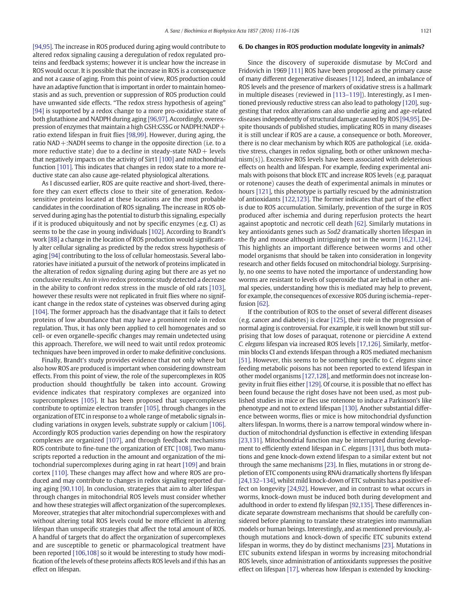[\[94,95\]](#page-9-0). The increase in ROS produced during aging would contribute to altered redox signaling causing a deregulation of redox regulated proteins and feedback systems; however it is unclear how the increase in ROS would occur. It is possible that the increase in ROS is a consequence and not a cause of aging. From this point of view, ROS production could have an adaptive function that is important in order to maintain homeostasis and as such, prevention or suppression of ROS production could have unwanted side effects. "The redox stress hypothesis of ageing" [\[94\]](#page-9-0) is supported by a redox change to a more pro-oxidative state of both glutathione and NADPH during aging [\[96,97\]](#page-9-0). Accordingly, overexpression of enzymes that maintain a high GSH:GSSG or NADPH:NADP $+$ ratio extend lifespan in fruit flies [\[98,99\]](#page-9-0). However, during aging, the ratio NAD+:NADH seems to change in the opposite direction (i.e. to a more reductive state) due to a decline in steady-state  $NAD +$  levels that negatively impacts on the activity of Sirt1 [\[100\]](#page-9-0) and mitochondrial function [\[101\]](#page-9-0). This indicates that changes in redox state to a more reductive state can also cause age-related physiological alterations.

As I discussed earlier, ROS are quite reactive and short-lived, therefore they can exert effects close to their site of generation. Redoxsensitive proteins located at these locations are the most probable candidates in the coordination of ROS signaling. The increase in ROS observed during aging has the potential to disturb this signaling, especially if it is produced ubiquitously and not by specific enzymes (e.g. CI) as seems to be the case in young individuals [\[102\].](#page-9-0) According to Brandt's work [\[88\]](#page-8-0) a change in the location of ROS production would significantly alter cellular signaling as predicted by the redox stress hypothesis of aging [\[94\]](#page-9-0) contributing to the loss of cellular homeostasis. Several laboratories have initiated a pursuit of the network of proteins implicated in the alteration of redox signaling during aging but there are as yet no conclusive results. An in vivo redox proteomic study detected a decrease in the ability to confront redox stress in the muscle of old rats [\[103\],](#page-9-0) however these results were not replicated in fruit flies where no significant change in the redox state of cysteines was observed during aging [\[104\].](#page-9-0) The former approach has the disadvantage that it fails to detect proteins of low abundance that may have a prominent role in redox regulation. Thus, it has only been applied to cell homogenates and so cell- or even organelle-specific changes may remain undetected using this approach. Therefore, we will need to wait until redox proteomic techniques have been improved in order to make definitive conclusions.

Finally, Brandt's study provides evidence that not only where but also how ROS are produced is important when considering downstream effects. From this point of view, the role of the supercomplexes in ROS production should thoughtfully be taken into account. Growing evidence indicates that respiratory complexes are organized into supercomplexes [\[105\]](#page-9-0). It has been proposed that supercomplexes contribute to optimize electron transfer [\[105\]](#page-9-0), through changes in the organization of ETC in response to a whole range of metabolic signals including variations in oxygen levels, substrate supply or calcium [\[106\].](#page-9-0) Accordingly ROS production varies depending on how the respiratory complexes are organized [\[107\]](#page-9-0), and through feedback mechanisms ROS contribute to fine-tune the organization of ETC [\[108\]](#page-9-0). Two manuscripts reported a reduction in the amount and organization of the mitochondrial supercomplexes during aging in rat heart [\[109\]](#page-9-0) and brain cortex [\[110\]](#page-9-0). These changes may affect how and where ROS are produced and may contribute to changes in redox signaling reported during aging [\[90,110\].](#page-9-0) In conclusion, strategies that aim to alter lifespan through changes in mitochondrial ROS levels must consider whether and how these strategies will affect organization of the supercomplexes. Moreover, strategies that alter mitochondrial supercomplexes with and without altering total ROS levels could be more efficient in altering lifespan than unspecific strategies that affect the total amount of ROS. A handful of targets that do affect the organization of supercomplexes and are susceptible to genetic or pharmacological treatment have been reported [\[106,108\]](#page-9-0) so it would be interesting to study how modification of the levels of these proteins affects ROS levels and if this has an effect on lifespan.

#### 6. Do changes in ROS production modulate longevity in animals?

Since the discovery of superoxide dismutase by McCord and Fridovich in 1969 [\[111\]](#page-9-0) ROS have been proposed as the primary cause of many different degenerative diseases [\[112\].](#page-9-0) Indeed, an imbalance of ROS levels and the presence of markers of oxidative stress is a hallmark in multiple diseases (reviewed in [\[113](#page-9-0)–119]). Interestingly, as I mentioned previously reductive stress can also lead to pathology [\[120\],](#page-9-0) suggesting that redox alterations can also underlie aging and age-related diseases independently of structural damage caused by ROS [\[94,95\]](#page-9-0). Despite thousands of published studies, implicating ROS in many diseases it is still unclear if ROS are a cause, a consequence or both. Moreover, there is no clear mechanism by which ROS are pathological (i.e. oxidative stress, changes in redox signaling, both or other unknown mechanism(s)). Excessive ROS levels have been associated with deleterious effects on health and lifespan. For example, feeding experimental animals with poisons that block ETC and increase ROS levels (e.g. paraquat or rotenone) causes the death of experimental animals in minutes or hours [\[121\]](#page-9-0), this phenotype is partially rescued by the administration of antioxidants [\[122,123\]](#page-9-0). The former indicates that part of the effect is due to ROS accumulation. Similarly, prevention of the surge in ROS produced after ischemia and during reperfusion protects the heart against apoptotic and necrotic cell death [\[62\]](#page-8-0). Similarly mutations in key antioxidants genes such as Sod2 dramatically shorten lifespan in the fly and mouse although intriguingly not in the worm [\[16,21,124\].](#page-7-0) This highlights an important difference between worms and other model organisms that should be taken into consideration in longevity research and other fields focused on mitochondrial biology. Surprisingly, no one seems to have noted the importance of understanding how worms are resistant to levels of superoxide that are lethal in other animal species, understanding how this is mediated may help to prevent, for example, the consequences of excessive ROS during ischemia–reperfusion [\[62\].](#page-8-0)

If the contribution of ROS to the onset of several different diseases (e.g. cancer and diabetes) is clear [\[125\]](#page-9-0), their role in the progression of normal aging is controversial. For example, it is well known but still surprising that low doses of paraquat, rotenone or piercidine A extend C. elegans lifespan via increased ROS levels [\[17,126\]](#page-7-0). Similarly, metformin blocks CI and extends lifespan through a ROS mediated mechanism [\[51\]](#page-8-0). However, this seems to be something specific to C. elegans since feeding metabolic poisons has not been reported to extend lifespan in other model organisms [\[127,128\]](#page-9-0), and metformin does not increase longevity in fruit flies either [\[129\]](#page-9-0). Of course, it is possible that no effect has been found because the right doses have not been used, as most published studies in mice or flies use rotenone to induce a Parkinson's like phenotype and not to extend lifespan [\[130\]](#page-9-0). Another substantial difference between worms, flies or mice is how mitochondrial dysfunction alters lifespan. In worms, there is a narrow temporal window where induction of mitochondrial dysfunction is effective in extending lifespan [\[23,131\].](#page-7-0) Mitochondrial function may be interrupted during development to efficiently extend lifespan in C. elegans [\[131\]](#page-9-0), thus both mutations and gene knock-down extend lifespan to a similar extent but not through the same mechanisms [\[23\].](#page-7-0) In flies, mutations in or strong depletion of ETC components using RNAi dramatically shortens fly lifespan [\[24,132](#page-7-0)–134], whilst mild knock-down of ETC subunits has a positive effect on longevity [\[24,92\].](#page-7-0) However, and in contrast to what occurs in worms, knock-down must be induced both during development and adulthood in order to extend fly lifespan [\[92,135\].](#page-9-0) These differences indicate separate downstream mechanisms that should be carefully considered before planning to translate these strategies into mammalian models or human beings. Interestingly, and as mentioned previously, although mutations and knock-down of specific ETC subunits extend lifespan in worms, they do by distinct mechanisms [\[23\]](#page-7-0). Mutations in ETC subunits extend lifespan in worms by increasing mitochondrial ROS levels, since administration of antioxidants suppresses the positive effect on lifespan [\[17\],](#page-7-0) whereas how lifespan is extended by knocking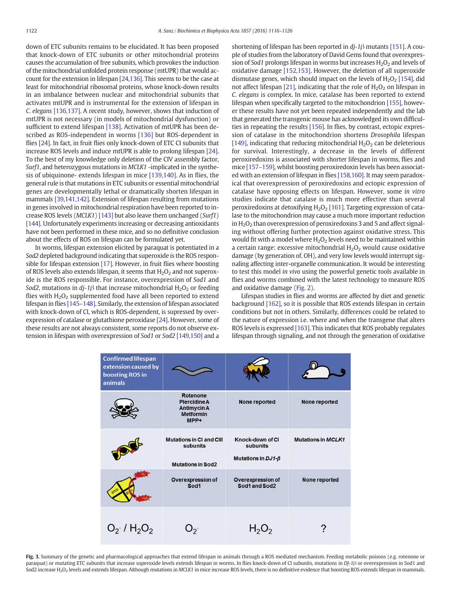<span id="page-6-0"></span>down of ETC subunits remains to be elucidated. It has been proposed that knock-down of ETC subunits or other mitochondrial proteins causes the accumulation of free subunits, which provokes the induction of the mitochondrial unfolded protein response (mtUPR) that would account for the extension in lifespan [\[24,136\].](#page-7-0) This seems to be the case at least for mitochondrial ribosomal proteins, whose knock-down results in an imbalance between nuclear and mitochondrial subunits that activates mtUPR and is instrumental for the extension of lifespan in C. elegans [\[136,137\]](#page-9-0). A recent study, however, shows that induction of mtUPR is not necessary (in models of mitochondrial dysfunction) or sufficient to extend lifespan [\[138\]](#page-9-0). Activation of mtUPR has been described as ROS-independent in worms [\[136\]](#page-9-0) but ROS-dependent in flies [\[24\].](#page-7-0) In fact, in fruit flies only knock-down of ETC CI subunits that increase ROS levels and induce mtUPR is able to prolong lifespan [\[24\].](#page-7-0) To the best of my knowledge only deletion of the CIV assembly factor, Surf1, and heterozygous mutations in MCLK1 -implicated in the synthesis of ubiquinone- extends lifespan in mice [\[139,140\].](#page-9-0) As in flies, the general rule is that mutations in ETC subunits or essential mitochondrial genes are developmentally lethal or dramatically shorten lifespan in mammals [\[39,141,142\].](#page-8-0) Extension of lifespan resulting from mutations in genes involved in mitochondrial respiration have been reported to increase ROS levels (MCLK1) [\[143\]](#page-10-0) but also leave them unchanged (Surf1) [\[144\]](#page-10-0). Unfortunately experiments increasing or decreasing antioxidants have not been performed in these mice, and so no definitive conclusion about the effects of ROS on lifespan can be formulated yet.

In worms, lifespan extension elicited by paraquat is potentiated in a Sod2 depleted background indicating that superoxide is the ROS responsible for lifespan extension [\[17\].](#page-7-0) However, in fruit flies where boosting of ROS levels also extends lifespan, it seems that  $H_2O_2$  and not superoxide is the ROS responsible. For instance, overexpression of Sod1 and Sod2, mutations in dj-1 $\beta$  that increase mitochondrial H<sub>2</sub>O<sub>2</sub> or feeding flies with  $H_2O_2$  supplemented food have all been reported to extend lifespan in flies [\[145](#page-10-0)–148]. Similarly, the extension of lifespan associated with knock-down of CI, which is ROS-dependent, is supressed by overexpression of catalase or glutathione peroxidase [\[24\]](#page-7-0). However, some of these results are not always consistent, some reports do not observe ex-tension in lifespan with overexpression of Sod1 or Sod2 [\[149,150\]](#page-10-0) and a shortening of lifespan has been reported in dj-1β mutants [\[151\]](#page-10-0). A couple of studies from the laboratory of David Gems found that overexpression of Sod1 prolongs lifespan in worms but increases  $H_2O_2$  and levels of oxidative damage [\[152,153\].](#page-10-0) However, the deletion of all superoxide dismutase genes, which should impact on the levels of  $H_2O_2$  [\[154\]](#page-10-0), did not affect lifespan [\[21\],](#page-7-0) indicating that the role of  $H_2O_2$  on lifespan in C. elegans is complex. In mice, catalase has been reported to extend lifespan when specifically targeted to the mitochondrion [\[155\],](#page-10-0) however these results have not yet been repeated independently and the lab that generated the transgenic mouse has acknowledged its own difficulties in repeating the results [\[156\].](#page-10-0) In flies, by contrast, ectopic expression of catalase in the mitochondrion shortens Drosophila lifespan [\[149\],](#page-10-0) indicating that reducing mitochondrial  $H_2O_2$  can be deleterious for survival. Interestingly, a decrease in the levels of different peroxiredoxins is associated with shorter lifespan in worms, flies and mice [\[157](#page-10-0)–159], whilst boosting peroxiredoxin levels has been associated with an extension of lifespan in flies [\[158,160\]](#page-10-0). It may seem paradoxical that overexpression of peroxiredoxins and ectopic expression of catalase have opposing effects on lifespan. However, some in vitro studies indicate that catalase is much more effective than several peroxiredoxins at detoxifying  $H_2O_2$  [\[161\].](#page-10-0) Targeting expression of catalase to the mitochondrion may cause a much more important reduction in  $H_2O_2$  than overexpression of peroxiredoxins 3 and 5 and affect signaling without offering further protection against oxidative stress. This would fit with a model where  $H_2O_2$  levels need to be maintained within a certain range: excessive mitochondrial  $H_2O_2$  would cause oxidative damage (by generation of. OH), and very low levels would interrupt signaling affecting inter-organelle communication. It would be interesting to test this model in vivo using the powerful genetic tools available in flies and worms combined with the latest technology to measure ROS and oxidative damage ([Fig. 2](#page-4-0)).

Lifespan studies in flies and worms are affected by diet and genetic background [\[162\]](#page-10-0), so it is possible that ROS extends lifespan in certain conditions but not in others. Similarly, differences could be related to the nature of expression i.e. where and when the transgene that alters ROS levels is expressed [\[163\].](#page-10-0) This indicates that ROS probably regulates lifespan through signaling, and not through the generation of oxidative

| Confirmed lifespan<br>extension caused by<br>boosting ROS in<br>animals |                                                                            |                                                          |                           |
|-------------------------------------------------------------------------|----------------------------------------------------------------------------|----------------------------------------------------------|---------------------------|
|                                                                         | Rotenone<br><b>Piercidine A</b><br>Antimycin A<br><b>Metformin</b><br>MPP+ | None reported                                            | None reported             |
|                                                                         | <b>Mutations in CI and CIII</b><br>subunits<br><b>Mutations in Sod2</b>    | Knock-down of CI<br>subunits<br>Mutations in $DJ1-\beta$ | <b>Mutations in MCLK1</b> |
|                                                                         | Overexpression of<br>Sod1                                                  | <b>Overexpression of</b><br>Sod1 and Sod2                | None reported             |
| $O_2$ / $H_2O_2$                                                        |                                                                            | ${\sf H}_2{\sf U}_2$                                     |                           |

Fig. 3. Summary of the genetic and pharmacological approaches that extend lifespan in animals through a ROS mediated mechanism. Feeding metabolic poisons (e.g. rotenone or paraquat) or mutating ETC subunits that increase superoxide levels extends lifespan in worms. In flies knock-down of CI subunits, mutations in DJ-1β or overexpression in Sod1 and Sod2 increase H<sub>2</sub>O<sub>2</sub> levels and extends lifespan. Although mutations in MCLK1 in mice increase ROS levels, there is no definitive evidence that boosting ROS extends lifespan in mammals.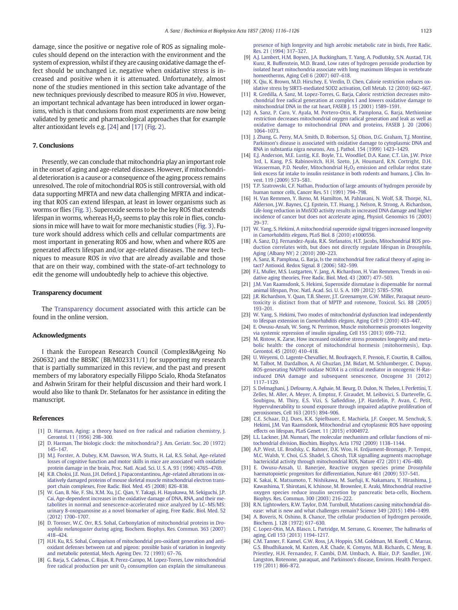<span id="page-7-0"></span>damage, since the positive or negative role of ROS as signaling molecules should depend on the interaction with the environment and the system of expression, whilst if they are causing oxidative damage the effect should be unchanged i.e. negative when oxidative stress is increased and positive when it is attenuated. Unfortunately, almost none of the studies mentioned in this section take advantage of the new techniques previously described to measure ROS in vivo. However, an important technical advantage has been introduced in lower organisms, which is that conclusions from most experiments are now being validated by genetic and pharmacological approaches that for example alter antioxidant levels e.g. [24] and [17] ([Fig. 2](#page-4-0)).

### 7. Conclusions

Presently, we can conclude that mitochondria play an important role in the onset of aging and age-related diseases. However, if mitochondrial deterioration is a cause or a consequence of the aging process remains unresolved. The role of mitochondrial ROS is still controversial, with old data supporting MFRTA and new data challenging MFRTA and indicating that ROS can extend lifespan, at least in lower organisms such as worms or flies ([Fig. 3\)](#page-6-0). Superoxide seems to be the key ROS that extends lifespan in worms, whereas  $H_2O_2$  seems to play this role in flies, conclusions in mice will have to wait for more mechanistic studies ([Fig. 3\)](#page-6-0). Future work should address which cells and cellular compartments are most important in generating ROS and how, when and where ROS are generated affects lifespan and/or age-related diseases. The new techniques to measure ROS in vivo that are already available and those that are on their way, combined with the state-of-art technology to edit the genome will undoubtedly help to achieve this objective.

#### Transparency document

The [Transparency document](http://dx.doi.org/10.1016/j.bbabio.2016.03.018) associated with this article can be found in the online version.

#### Acknowledgments

I thank the European Research Council (ComplexI&Ageing No 260632) and the BBSRC (BB/M023311/1) for supporting my research that is partially summarized in this review, and the past and present members of my laboratory especially Filippo Scialo, Rhoda Stefanatos and Ashwin Sriram for their helpful discussion and their hard work. I would also like to thank Dr. Stefanatos for her assistance in editing the manuscript.

#### References

- [1] [D. Harman, Aging: a theory based on free radical and radiation chemistry, J.](http://refhub.elsevier.com/S0005-2728(16)30065-2/rf0005) [Gerontol. 11 \(1956\) 298](http://refhub.elsevier.com/S0005-2728(16)30065-2/rf0005)–300.
- [2] [D. Harman, The biologic clock: the mitochondria? J. Am. Geriatr. Soc. 20 \(1972\)](http://refhub.elsevier.com/S0005-2728(16)30065-2/rf0010) 145–[147.](http://refhub.elsevier.com/S0005-2728(16)30065-2/rf0010)
- [3] [M.J. Forster, A. Dubey, K.M. Dawson, W.A. Stutts, H. Lal, R.S. Sohal, Age-related](http://refhub.elsevier.com/S0005-2728(16)30065-2/rf0015) [losses of cognitive function and motor skills in mice are associated with oxidative](http://refhub.elsevier.com/S0005-2728(16)30065-2/rf0015) [protein damage in the brain, Proc. Natl. Acad. Sci. U. S. A. 93 \(1996\) 4765](http://refhub.elsevier.com/S0005-2728(16)30065-2/rf0015)–4769.
- [4] [K.B. Choksi, J.E. Nuss, J.H. Deford, J. Papaconstantinou, Age-related alterations in ox](http://refhub.elsevier.com/S0005-2728(16)30065-2/rf0020)[idatively damaged proteins of mouse skeletal muscle mitochondrial electron trans](http://refhub.elsevier.com/S0005-2728(16)30065-2/rf0020)[port chain complexes, Free Radic. Biol. Med. 45 \(2008\) 826](http://refhub.elsevier.com/S0005-2728(16)30065-2/rf0020)–838.
- [5] [W. Gan, B. Nie, F. Shi, X.M. Xu, J.C. Qian, Y. Takagi, H. Hayakawa, M. Sekiguchi, J.P.](http://refhub.elsevier.com/S0005-2728(16)30065-2/rf0025) [Cai, Age-dependent increases in the oxidative damage of DNA, RNA, and their me](http://refhub.elsevier.com/S0005-2728(16)30065-2/rf0025)[tabolites in normal and senescence-accelerated mice analyzed by LC](http://refhub.elsevier.com/S0005-2728(16)30065-2/rf0025)–MS/MS: [urinary 8-oxoguanosine as a novel biomarker of aging, Free Radic. Biol. Med. 52](http://refhub.elsevier.com/S0005-2728(16)30065-2/rf0025) [\(2012\) 1700](http://refhub.elsevier.com/S0005-2728(16)30065-2/rf0025)–1707.
- [6] [D. Toroser, W.C. Orr, R.S. Sohal, Carbonylation of mitochondrial proteins in](http://refhub.elsevier.com/S0005-2728(16)30065-2/rf0030) Drosophila melanogaster [during aging, Biochem. Biophys. Res. Commun. 363 \(2007\)](http://refhub.elsevier.com/S0005-2728(16)30065-2/rf0030) 418–[424.](http://refhub.elsevier.com/S0005-2728(16)30065-2/rf0030)
- [7] [H.H. Ku, R.S. Sohal, Comparison of mitochondrial pro-oxidant generation and anti](http://refhub.elsevier.com/S0005-2728(16)30065-2/rf0035)[oxidant defenses between rat and pigeon: possible basis of variation in longevity](http://refhub.elsevier.com/S0005-2728(16)30065-2/rf0035) [and metabolic potential, Mech. Ageing Dev. 72 \(1993\) 67](http://refhub.elsevier.com/S0005-2728(16)30065-2/rf0035)–76.
- [8] [G. Barja, S. Cadenas, C. Rojas, R. Perez-Campo, M. Lopez-Torres, Low mitochondrial](http://refhub.elsevier.com/S0005-2728(16)30065-2/rf0040) free radical production per unit  $O<sub>2</sub>$  [consumption can explain the simultaneous](http://refhub.elsevier.com/S0005-2728(16)30065-2/rf0040)

[presence of high longevity and high aerobic metabolic rate in birds, Free Radic.](http://refhub.elsevier.com/S0005-2728(16)30065-2/rf0040) [Res. 21 \(1994\) 317](http://refhub.elsevier.com/S0005-2728(16)30065-2/rf0040)–327.

- [9] [A.J. Lambert, H.M. Boysen, J.A. Buckingham, T. Yang, A. Podlutsky, S.N. Austad, T.H.](http://refhub.elsevier.com/S0005-2728(16)30065-2/rf0045) [Kunz, R. Buffenstein, M.D. Brand, Low rates of hydrogen peroxide production by](http://refhub.elsevier.com/S0005-2728(16)30065-2/rf0045) [isolated heart mitochondria associate with long maximum lifespan in vertebrate](http://refhub.elsevier.com/S0005-2728(16)30065-2/rf0045) [homeotherms, Aging Cell 6 \(2007\) 607](http://refhub.elsevier.com/S0005-2728(16)30065-2/rf0045)–618.
- [10] [X. Qiu, K. Brown, M.D. Hirschey, E. Verdin, D. Chen, Calorie restriction reduces ox](http://refhub.elsevier.com/S0005-2728(16)30065-2/rf0050)[idative stress by SIRT3-mediated SOD2 activation, Cell Metab. 12 \(2010\) 662](http://refhub.elsevier.com/S0005-2728(16)30065-2/rf0050)–667.
- [11] [R. Gredilla, A. Sanz, M. Lopez-Torres, G. Barja, Caloric restriction decreases mito](http://refhub.elsevier.com/S0005-2728(16)30065-2/rf0055)[chondrial free radical generation at complex I and lowers oxidative damage to](http://refhub.elsevier.com/S0005-2728(16)30065-2/rf0055) [mitochondrial DNA in the rat heart, FASEB J. 15 \(2001\) 1589](http://refhub.elsevier.com/S0005-2728(16)30065-2/rf0055)–1591.
- [12] [A. Sanz, P. Caro, V. Ayala, M. Portero-Otin, R. Pamplona, G. Barja, Methionine](http://refhub.elsevier.com/S0005-2728(16)30065-2/rf0060) [restriction decreases mitochondrial oxygen radical generation and leak as well as](http://refhub.elsevier.com/S0005-2728(16)30065-2/rf0060) [oxidative damage to mitochondrial DNA and proteins, FASEB J. 20 \(2006\)](http://refhub.elsevier.com/S0005-2728(16)30065-2/rf0060) [1064](http://refhub.elsevier.com/S0005-2728(16)30065-2/rf0060)–1073.
- [13] [J. Zhang, G. Perry, M.A. Smith, D. Robertson, S.J. Olson, D.G. Graham, T.J. Montine,](http://refhub.elsevier.com/S0005-2728(16)30065-2/rf0065) [Parkinson's disease is associated with oxidative damage to cytoplasmic DNA and](http://refhub.elsevier.com/S0005-2728(16)30065-2/rf0065) [RNA in substantia nigra neurons, Am. J. Pathol. 154 \(1999\) 1423](http://refhub.elsevier.com/S0005-2728(16)30065-2/rf0065)–1429.
- [14] [E.J. Anderson, M.E. Lustig, K.E. Boyle, T.L. Woodlief, D.A. Kane, C.T. Lin, J.W. Price](http://refhub.elsevier.com/S0005-2728(16)30065-2/rf0070) [3rd, L. Kang, P.S. Rabinovitch, H.H. Szeto, J.A. Houmard, R.N. Cortright, D.H.](http://refhub.elsevier.com/S0005-2728(16)30065-2/rf0070) Wasserman, P.D. Neufer, Mitochondrial  $H_2O_2$  [emission and cellular redox state](http://refhub.elsevier.com/S0005-2728(16)30065-2/rf0070) [link excess fat intake to insulin resistance in both rodents and humans, J. Clin. In](http://refhub.elsevier.com/S0005-2728(16)30065-2/rf0070)[vest. 119 \(2009\) 573](http://refhub.elsevier.com/S0005-2728(16)30065-2/rf0070)–581.
- [15] [T.P. Szatrowski, C.F. Nathan, Production of large amounts of hydrogen peroxide by](http://refhub.elsevier.com/S0005-2728(16)30065-2/rf0075) [human tumor cells, Cancer Res. 51 \(1991\) 794](http://refhub.elsevier.com/S0005-2728(16)30065-2/rf0075)–798.
- [16] [H. Van Remmen, Y. Ikeno, M. Hamilton, M. Pahlavani, N. Wolf, S.R. Thorpe, N.L.](http://refhub.elsevier.com/S0005-2728(16)30065-2/rf0080) [Alderson, J.W. Baynes, C.J. Epstein, T.T. Huang, J. Nelson, R. Strong, A. Richardson,](http://refhub.elsevier.com/S0005-2728(16)30065-2/rf0080) [Life-long reduction in MnSOD activity results in increased DNA damage and higher](http://refhub.elsevier.com/S0005-2728(16)30065-2/rf0080) [incidence of cancer but does not accelerate aging, Physiol. Genomics 16 \(2003\)](http://refhub.elsevier.com/S0005-2728(16)30065-2/rf0080) 29–[37.](http://refhub.elsevier.com/S0005-2728(16)30065-2/rf0080)
- [17] [W. Yang, S. Hekimi, A mitochondrial superoxide signal triggers increased longevity](http://refhub.elsevier.com/S0005-2728(16)30065-2/rf0085) in Caenorhabditis elegans[, PLoS Biol. 8 \(2010\) e1000556.](http://refhub.elsevier.com/S0005-2728(16)30065-2/rf0085)
- [18] [A. Sanz, D.J. Fernandez-Ayala, R.K. Stefanatos, H.T. Jacobs, Mitochondrial ROS pro](http://refhub.elsevier.com/S0005-2728(16)30065-2/rf0090)[duction correlates with, but does not directly regulate lifespan in](http://refhub.elsevier.com/S0005-2728(16)30065-2/rf0090) Drosophila, [Aging \(Albany NY\) 2 \(2010\) 200](http://refhub.elsevier.com/S0005-2728(16)30065-2/rf0090)–223.
- [19] [A. Sanz, R. Pamplona, G. Barja, Is the mitochondrial free radical theory of aging in](http://refhub.elsevier.com/S0005-2728(16)30065-2/rf0095)[tact? Antioxid. Redox Signal. 8 \(2006\) 582](http://refhub.elsevier.com/S0005-2728(16)30065-2/rf0095)–599.
- [20] [F.L. Muller, M.S. Lustgarten, Y. Jang, A. Richardson, H. Van Remmen, Trends in oxi](http://refhub.elsevier.com/S0005-2728(16)30065-2/rf0100)[dative aging theories, Free Radic. Biol. Med. 43 \(2007\) 477](http://refhub.elsevier.com/S0005-2728(16)30065-2/rf0100)–503.
- [21] [J.M. Van Raamsdonk, S. Hekimi, Superoxide dismutase is dispensable for normal](http://refhub.elsevier.com/S0005-2728(16)30065-2/rf0105) [animal lifespan, Proc. Natl. Acad. Sci. U. S. A. 109 \(2012\) 5785](http://refhub.elsevier.com/S0005-2728(16)30065-2/rf0105)–5790.
- [22] [J.R. Richardson, Y. Quan, T.B. Sherer, J.T. Greenamyre, G.W. Miller, Paraquat neuro](http://refhub.elsevier.com/S0005-2728(16)30065-2/rf0110)[toxicity is distinct from that of MPTP and rotenone, Toxicol. Sci. 88 \(2005\)](http://refhub.elsevier.com/S0005-2728(16)30065-2/rf0110) [193](http://refhub.elsevier.com/S0005-2728(16)30065-2/rf0110)–201.
- [23] [W. Yang, S. Hekimi, Two modes of mitochondrial dysfunction lead independently](http://refhub.elsevier.com/S0005-2728(16)30065-2/rf0115) to lifespan extension in Caenorhabditis elegans[, Aging Cell 9 \(2010\) 433](http://refhub.elsevier.com/S0005-2728(16)30065-2/rf0115)–447.
- [24] [E. Owusu-Ansah, W. Song, N. Perrimon, Muscle mitohormesis promotes longevity](http://refhub.elsevier.com/S0005-2728(16)30065-2/rf0120) [via systemic repression of insulin signaling, Cell 155 \(2013\) 699](http://refhub.elsevier.com/S0005-2728(16)30065-2/rf0120)-712.
- [25] [M. Ristow, K. Zarse, How increased oxidative stress promotes longevity and meta](http://refhub.elsevier.com/S0005-2728(16)30065-2/rf0125)[bolic health: the concept of mitochondrial hormesis \(mitohormesis\), Exp.](http://refhub.elsevier.com/S0005-2728(16)30065-2/rf0125) [Gerontol. 45 \(2010\) 410](http://refhub.elsevier.com/S0005-2728(16)30065-2/rf0125)–418.
- [26] [U. Weyemi, O. Lagente-Chevallier, M. Boufraqech, F. Prenois, F. Courtin, B. Caillou,](http://refhub.elsevier.com/S0005-2728(16)30065-2/rf0130) [M. Talbot, M. Dardalhon, A. Al Ghuzlan, J.M. Bidart, M. Schlumberger, C. Dupuy,](http://refhub.elsevier.com/S0005-2728(16)30065-2/rf0130) [ROS-generating NADPH oxidase NOX4 is a critical mediator in oncogenic H-Ras](http://refhub.elsevier.com/S0005-2728(16)30065-2/rf0130)[induced DNA damage and subsequent senescence, Oncogene 31 \(2012\)](http://refhub.elsevier.com/S0005-2728(16)30065-2/rf0130) [1117](http://refhub.elsevier.com/S0005-2728(16)30065-2/rf0130)–1129.
- [27] [S. Delmaghani, J. Defourny, A. Aghaie, M. Beurg, D. Dulon, N. Thelen, I. Perfettini, T.](http://refhub.elsevier.com/S0005-2728(16)30065-2/rf0135) [Zelles, M. Aller, A. Meyer, A. Emptoz, F. Giraudet, M. Leibovici, S. Dartevelle, G.](http://refhub.elsevier.com/S0005-2728(16)30065-2/rf0135) Soubigou, M. Thiry, E.S. Vizi, S. Safi[eddine, J.P. Hardelin, P. Avan, C. Petit,](http://refhub.elsevier.com/S0005-2728(16)30065-2/rf0135) [Hypervulnerability to sound exposure through impaired adaptive proliferation of](http://refhub.elsevier.com/S0005-2728(16)30065-2/rf0135) [peroxisomes, Cell 163 \(2015\) 894](http://refhub.elsevier.com/S0005-2728(16)30065-2/rf0135)–906.
- [28] [C.E. Schaar, D.J. Dues, K.K. Spielbauer, E. Machiela, J.F. Cooper, M. Senchuk, S.](http://refhub.elsevier.com/S0005-2728(16)30065-2/rf0140) [Hekimi, J.M. Van Raamsdonk, Mitochondrial and cytoplasmic ROS have opposing](http://refhub.elsevier.com/S0005-2728(16)30065-2/rf0140) [effects on lifespan, PLoS Genet. 11 \(2015\) e1004972.](http://refhub.elsevier.com/S0005-2728(16)30065-2/rf0140)
- [29] [L.L. Lackner, J.M. Nunnari, The molecular mechanism and cellular functions of mi](http://refhub.elsevier.com/S0005-2728(16)30065-2/rf0145)[tochondrial division, Biochim. Biophys. Acta 1792 \(2009\) 1138](http://refhub.elsevier.com/S0005-2728(16)30065-2/rf0145)–1144.
- [30] [A.P. West, I.E. Brodsky, C. Rahner, D.K. Woo, H. Erdjument-Bromage, P. Tempst,](http://refhub.elsevier.com/S0005-2728(16)30065-2/rf0150) [M.C. Walsh, Y. Choi, G.S. Shadel, S. Ghosh, TLR signalling augments macrophage](http://refhub.elsevier.com/S0005-2728(16)30065-2/rf0150) [bactericidal activity through mitochondrial ROS, Nature 472 \(2011\) 476](http://refhub.elsevier.com/S0005-2728(16)30065-2/rf0150)–480.
- [31] [E. Owusu-Ansah, U. Banerjee, Reactive oxygen species prime](http://refhub.elsevier.com/S0005-2728(16)30065-2/rf0155) Drosophila [haematopoietic progenitors for differentiation, Nature 461 \(2009\) 537](http://refhub.elsevier.com/S0005-2728(16)30065-2/rf0155)–541.
- [32] [K. Sakai, K. Matsumoto, T. Nishikawa, M. Suefuji, K. Nakamaru, Y. Hirashima, J.](http://refhub.elsevier.com/S0005-2728(16)30065-2/rf0160) [Kawashima, T. Shirotani, K. Ichinose, M. Brownlee, E. Araki, Mitochondrial reactive](http://refhub.elsevier.com/S0005-2728(16)30065-2/rf0160) [oxygen species reduce insulin secretion by pancreatic beta-cells, Biochem.](http://refhub.elsevier.com/S0005-2728(16)30065-2/rf0160) [Biophys. Res. Commun. 300 \(2003\) 216](http://refhub.elsevier.com/S0005-2728(16)30065-2/rf0160)–222.
- [33] [R.N. Lightowlers, R.W. Taylor, D.M. Turnbull, Mutations causing mitochondrial dis](http://refhub.elsevier.com/S0005-2728(16)30065-2/rf0165)[ease: what is new and what challenges remain? Science 349 \(2015\) 1494](http://refhub.elsevier.com/S0005-2728(16)30065-2/rf0165)–1499.
- [34] [A. Boveris, N. Oshino, B. Chance, The cellular production of hydrogen peroxide,](http://refhub.elsevier.com/S0005-2728(16)30065-2/rf0170) [Biochem. J. 128 \(1972\) 617](http://refhub.elsevier.com/S0005-2728(16)30065-2/rf0170)–630.
- [35] [C. Lopez-Otin, M.A. Blasco, L. Partridge, M. Serrano, G. Kroemer, The hallmarks of](http://refhub.elsevier.com/S0005-2728(16)30065-2/rf0175) [aging, Cell 153 \(2013\) 1194](http://refhub.elsevier.com/S0005-2728(16)30065-2/rf0175)–1217.
- [36] [C.M. Tanner, F. Kamel, G.W. Ross, J.A. Hoppin, S.M. Goldman, M. Korell, C. Marras,](http://refhub.elsevier.com/S0005-2728(16)30065-2/rf0180) [G.S. Bhudhikanok, M. Kasten, A.R. Chade, K. Comyns, M.B. Richards, C. Meng, B.](http://refhub.elsevier.com/S0005-2728(16)30065-2/rf0180) [Priestley, H.H. Fernandez, F. Cambi, D.M. Umbach, A. Blair, D.P. Sandler, J.W.](http://refhub.elsevier.com/S0005-2728(16)30065-2/rf0180) [Langston, Rotenone, paraquat, and Parkinson's disease, Environ. Health Perspect.](http://refhub.elsevier.com/S0005-2728(16)30065-2/rf0180) [119 \(2011\) 866](http://refhub.elsevier.com/S0005-2728(16)30065-2/rf0180)–872.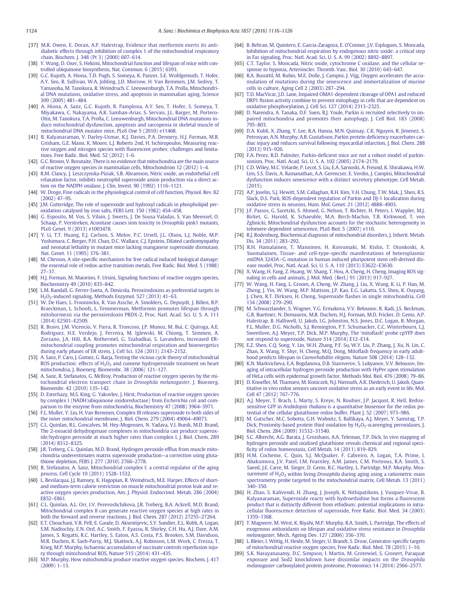- <span id="page-8-0"></span>[37] [M.R. Owen, E. Doran, A.P. Halestrap, Evidence that metformin exerts its anti](http://refhub.elsevier.com/S0005-2728(16)30065-2/rf0185)[diabetic effects through inhibition of complex 1 of the mitochondrial respiratory](http://refhub.elsevier.com/S0005-2728(16)30065-2/rf0185) [chain, Biochem. J. 348 \(Pt 3\) \(2000\) 607](http://refhub.elsevier.com/S0005-2728(16)30065-2/rf0185)–614.
- [38] [Y. Wang, D. Oxer, S. Hekimi, Mitochondrial function and lifespan of mice with con](http://refhub.elsevier.com/S0005-2728(16)30065-2/rf0190)[trolled ubiquinone biosynthesis, Nat. Commun. 6 \(2015\) 6393.](http://refhub.elsevier.com/S0005-2728(16)30065-2/rf0190)
- [39] [G.C. Kujoth, A. Hiona, T.D. Pugh, S. Someya, K. Panzer, S.E. Wohlgemuth, T. Hofer,](http://refhub.elsevier.com/S0005-2728(16)30065-2/rf0195) [A.Y. Seo, R. Sullivan, W.A. Jobling, J.D. Morrow, H. Van Remmen, J.M. Sedivy, T.](http://refhub.elsevier.com/S0005-2728(16)30065-2/rf0195) [Yamasoba, M. Tanokura, R. Weindruch, C. Leeuwenburgh, T.A. Prolla, Mitochondri](http://refhub.elsevier.com/S0005-2728(16)30065-2/rf0195)[al DNA mutations, oxidative stress, and apoptosis in mammalian aging, Science](http://refhub.elsevier.com/S0005-2728(16)30065-2/rf0195) [309 \(2005\) 481](http://refhub.elsevier.com/S0005-2728(16)30065-2/rf0195)–484.
- [40] [A. Hiona, A. Sanz, G.C. Kujoth, R. Pamplona, A.Y. Seo, T. Hofer, S. Someya, T.](http://refhub.elsevier.com/S0005-2728(16)30065-2/rf0200) [Miyakawa, C. Nakayama, A.K. Samhan-Arias, S. Servais, J.L. Barger, M. Portero-](http://refhub.elsevier.com/S0005-2728(16)30065-2/rf0200)[Otin, M. Tanokura, T.A. Prolla, C. Leeuwenburgh, Mitochondrial DNA mutations in](http://refhub.elsevier.com/S0005-2728(16)30065-2/rf0200)[duce mitochondrial dysfunction, apoptosis and sarcopenia in skeletal muscle of](http://refhub.elsevier.com/S0005-2728(16)30065-2/rf0200) [mitochondrial DNA mutator mice, PLoS One 5 \(2010\) e11468.](http://refhub.elsevier.com/S0005-2728(16)30065-2/rf0200)
- [41] [B. Kalyanaraman, V. Darley-Usmar, K.J. Davies, P.A. Dennery, H.J. Forman, M.B.](http://refhub.elsevier.com/S0005-2728(16)30065-2/rf0205) [Grisham, G.E. Mann, K. Moore, L.J. Roberts 2nd, H. Ischiropoulos, Measuring reac](http://refhub.elsevier.com/S0005-2728(16)30065-2/rf0205)tive oxygen and nitrogen species with fl[uorescent probes: challenges and limita](http://refhub.elsevier.com/S0005-2728(16)30065-2/rf0205)[tions, Free Radic. Biol. Med. 52 \(2012\) 1](http://refhub.elsevier.com/S0005-2728(16)30065-2/rf0205)–6.
- [42] [G.C. Brown, V. Borutaite, There is no evidence that mitochondria are the main source](http://refhub.elsevier.com/S0005-2728(16)30065-2/rf0210) [of reactive oxygen species in mammalian cells, Mitochondrion 12 \(2012\) 1](http://refhub.elsevier.com/S0005-2728(16)30065-2/rf0210)–4.
- [43] [R.M. Clancy, J. Leszczynska-Piziak, S.B. Abramson, Nitric oxide, an endothelial cell](http://refhub.elsevier.com/S0005-2728(16)30065-2/rf0215) [relaxation factor, inhibits neutrophil superoxide anion production via a direct ac](http://refhub.elsevier.com/S0005-2728(16)30065-2/rf0215)[tion on the NADPH oxidase, J. Clin. Invest. 90 \(1992\) 1116](http://refhub.elsevier.com/S0005-2728(16)30065-2/rf0215)–1121.
- [44] [W. Droge, Free radicals in the physiological control of cell function, Physiol. Rev. 82](http://refhub.elsevier.com/S0005-2728(16)30065-2/rf0220) [\(2002\) 47](http://refhub.elsevier.com/S0005-2728(16)30065-2/rf0220)–95.
- [45] [J.M. Gutteridge, The role of superoxide and hydroxyl radicals in phospholipid per](http://refhub.elsevier.com/S0005-2728(16)30065-2/rf0225)[oxidation catalysed by iron salts, FEBS Lett. 150 \(1982\) 454](http://refhub.elsevier.com/S0005-2728(16)30065-2/rf0225)–458.
- [46] [G. Esposito, M. Vos, S. Vilain, J. Swerts, J. De Sousa Valadas, S. Van Meensel, O.](http://refhub.elsevier.com/S0005-2728(16)30065-2/rf0230) [Schaap, P. Verstreken, Aconitase causes iron toxicity in](http://refhub.elsevier.com/S0005-2728(16)30065-2/rf0230) Drosophila pink1 mutants, [PLoS Genet. 9 \(2013\) e1003478.](http://refhub.elsevier.com/S0005-2728(16)30065-2/rf0230)
- [47] [Y. Li, T.T. Huang, E.J. Carlson, S. Melov, P.C. Ursell, J.L. Olson, L.J. Noble, M.P.](http://refhub.elsevier.com/S0005-2728(16)30065-2/rf0235) [Yoshimura, C. Berger, P.H. Chan, D.C. Wallace, C.J. Epstein, Dilated cardiomyopathy](http://refhub.elsevier.com/S0005-2728(16)30065-2/rf0235) [and neonatal lethality in mutant mice lacking manganese superoxide dismutase,](http://refhub.elsevier.com/S0005-2728(16)30065-2/rf0235) [Nat. Genet. 11 \(1995\) 376](http://refhub.elsevier.com/S0005-2728(16)30065-2/rf0235)–381.
- [48] M. Chevion, A site-specifi[c mechanism for free radical induced biological damage:](http://refhub.elsevier.com/S0005-2728(16)30065-2/rf0240) [the essential role of redox-active transition metals, Free Radic. Biol. Med. 5 \(1988\)](http://refhub.elsevier.com/S0005-2728(16)30065-2/rf0240) [27](http://refhub.elsevier.com/S0005-2728(16)30065-2/rf0240)–37.
- [49] [H.J. Forman, M. Maiorino, F. Ursini, Signaling functions of reactive oxygen species,](http://refhub.elsevier.com/S0005-2728(16)30065-2/rf0245) [Biochemistry 49 \(2010\) 835](http://refhub.elsevier.com/S0005-2728(16)30065-2/rf0245)–842.
- [50] [L.M. Randall, G. Ferrer-Sueta, A. Denicola, Peroxiredoxins as preferential targets in](http://refhub.elsevier.com/S0005-2728(16)30065-2/rf0250) [H2O2-induced signaling, Methods Enzymol. 527 \(2013\) 41](http://refhub.elsevier.com/S0005-2728(16)30065-2/rf0250)–63.
- [51] [W. De Haes, L. Frooninckx, R. Van Assche, A. Smolders, G. Depuydt, J. Billen, B.P.](http://refhub.elsevier.com/S0005-2728(16)30065-2/rf0255) [Braeckman, L. Schoofs, L. Temmerman, Metformin promotes lifespan through](http://refhub.elsevier.com/S0005-2728(16)30065-2/rf0255) [mitohormesis via the peroxiredoxin PRDX-2, Proc. Natl. Acad. Sci. U. S. A. 111](http://refhub.elsevier.com/S0005-2728(16)30065-2/rf0255) [\(2014\) E2501](http://refhub.elsevier.com/S0005-2728(16)30065-2/rf0255)–E2509.
- [52] [R. Bravo, J.M. Vicencio, V. Parra, R. Troncoso, J.P. Munoz, M. Bui, C. Quiroga, A.E.](http://refhub.elsevier.com/S0005-2728(16)30065-2/rf0260) [Rodriguez, H.E. Verdejo, J. Ferreira, M. Iglewski, M. Chiong, T. Simmen, A.](http://refhub.elsevier.com/S0005-2728(16)30065-2/rf0260) [Zorzano, J.A. Hill, B.A. Rothermel, G. Szabadkai, S. Lavandero, Increased ER](http://refhub.elsevier.com/S0005-2728(16)30065-2/rf0260)[mitochondrial coupling promotes mitochondrial respiration and bioenergetics](http://refhub.elsevier.com/S0005-2728(16)30065-2/rf0260) [during early phases of ER stress, J. Cell Sci. 124 \(2011\) 2143](http://refhub.elsevier.com/S0005-2728(16)30065-2/rf0260)–2152.
- [53] [A. Sanz, P. Caro, J. Gomez, G. Barja, Testing the vicious cycle theory of mitochondrial](http://refhub.elsevier.com/S0005-2728(16)30065-2/rf0265) ROS production: effects of H<sub>2</sub>O<sub>2</sub> [and cumene hydroperoxide treatment on heart](http://refhub.elsevier.com/S0005-2728(16)30065-2/rf0265) [mitochondria, J. Bioenerg. Biomembr. 38 \(2006\) 121](http://refhub.elsevier.com/S0005-2728(16)30065-2/rf0265)–127.
- [54] [A. Sanz, R. Stefanatos, G. McIlroy, Production of reactive oxygen species by the mi](http://refhub.elsevier.com/S0005-2728(16)30065-2/rf0270)[tochondrial electron transport chain in](http://refhub.elsevier.com/S0005-2728(16)30065-2/rf0270) Drosophila melanogaster, J. Bioenerg. [Biomembr. 42 \(2010\) 135](http://refhub.elsevier.com/S0005-2728(16)30065-2/rf0270)–142.
- [55] [D. Esterhazy, M.S. King, G. Yakovlev, J. Hirst, Production of reactive oxygen species](http://refhub.elsevier.com/S0005-2728(16)30065-2/rf0275) [by complex I \(NADH:ubiquinone oxidoreductase\) from](http://refhub.elsevier.com/S0005-2728(16)30065-2/rf0275) Escherichia coli and com[parison to the enzyme from mitochondria, Biochemistry 47 \(2008\) 3964](http://refhub.elsevier.com/S0005-2728(16)30065-2/rf0275)–3971.
- [56] [F.L. Muller, Y. Liu, H. Van Remmen, Complex III releases superoxide to both sides of](http://refhub.elsevier.com/S0005-2728(16)30065-2/rf0280) [the inner mitochondrial membrane, J. Biol. Chem. 279 \(2004\) 49064](http://refhub.elsevier.com/S0005-2728(16)30065-2/rf0280)–49073.
- [57] [C.L. Quinlan, R.L. Goncalves, M. Hey-Mogensen, N. Yadava, V.I. Bunik, M.D. Brand,](http://refhub.elsevier.com/S0005-2728(16)30065-2/rf0285) [The 2-oxoacid dehydrogenase complexes in mitochondria can produce superox](http://refhub.elsevier.com/S0005-2728(16)30065-2/rf0285)[ide/hydrogen peroxide at much higher rates than complex I, J. Biol. Chem. 289](http://refhub.elsevier.com/S0005-2728(16)30065-2/rf0285) [\(2014\) 8312](http://refhub.elsevier.com/S0005-2728(16)30065-2/rf0285)–8325.
- [58] [J.R. Treberg, C.L. Quinlan, M.D. Brand, Hydrogen peroxide ef](http://refhub.elsevier.com/S0005-2728(16)30065-2/rf0290)flux from muscle mito[chondria underestimates matrix superoxide production](http://refhub.elsevier.com/S0005-2728(16)30065-2/rf0290)—a correction using gluta[thione depletion, FEBS J. 277 \(2010\) 2766](http://refhub.elsevier.com/S0005-2728(16)30065-2/rf0290)–2778.
- [59] [R. Stefanatos, A. Sanz, Mitochondrial complex I: a central regulator of the aging](http://refhub.elsevier.com/S0005-2728(16)30065-2/rf0295) [process, Cell Cycle 10 \(2011\) 1528](http://refhub.elsevier.com/S0005-2728(16)30065-2/rf0295)–1532.
- [60] [L. Bevilacqua, J.J. Ramsey, K. Hagopian, R. Weindruch, M.E. Harper, Effects of short](http://refhub.elsevier.com/S0005-2728(16)30065-2/rf0300)[and medium-term calorie restriction on muscle mitochondrial proton leak and re](http://refhub.elsevier.com/S0005-2728(16)30065-2/rf0300)[active oxygen species production, Am. J. Physiol. Endocrinol. Metab. 286 \(2004\)](http://refhub.elsevier.com/S0005-2728(16)30065-2/rf0300) E852–[E861.](http://refhub.elsevier.com/S0005-2728(16)30065-2/rf0300)
- [61] [C.L. Quinlan, A.L. Orr, I.V. Perevoshchikova, J.R. Treberg, B.A. Ackrell, M.D. Brand,](http://refhub.elsevier.com/S0005-2728(16)30065-2/rf0305) [Mitochondrial complex II can generate reactive oxygen species at high rates in](http://refhub.elsevier.com/S0005-2728(16)30065-2/rf0305) [both the forward and reverse reactions, J. Biol. Chem. 287 \(2012\) 27255](http://refhub.elsevier.com/S0005-2728(16)30065-2/rf0305)–27264.
- [62] [E.T. Chouchani, V.R. Pell, E. Gaude, D. Aksentijevic, S.Y. Sundier, E.L. Robb, A. Logan,](http://refhub.elsevier.com/S0005-2728(16)30065-2/rf0310) [S.M. Nadtochiy, E.N. Ord, A.C. Smith, F. Eyassu, R. Shirley, C.H. Hu, A.J. Dare, A.M.](http://refhub.elsevier.com/S0005-2728(16)30065-2/rf0310) [James, S. Rogatti, R.C. Hartley, S. Eaton, A.S. Costa, P.S. Brookes, S.M. Davidson,](http://refhub.elsevier.com/S0005-2728(16)30065-2/rf0310) [M.R. Duchen, K. Saeb-Parsy, M.J. Shattock, A.J. Robinson, L.M. Work, C. Frezza, T.](http://refhub.elsevier.com/S0005-2728(16)30065-2/rf0310) [Krieg, M.P. Murphy, Ischaemic accumulation of succinate controls reperfusion inju](http://refhub.elsevier.com/S0005-2728(16)30065-2/rf0310)[ry through mitochondrial ROS, Nature 515 \(2014\) 431](http://refhub.elsevier.com/S0005-2728(16)30065-2/rf0310)–435.
- [63] [M.P. Murphy, How mitochondria produce reactive oxygen species, Biochem. J. 417](http://refhub.elsevier.com/S0005-2728(16)30065-2/rf0315) [\(2009\) 1](http://refhub.elsevier.com/S0005-2728(16)30065-2/rf0315)–13.
- [64] [B. Beltran, M. Quintero, E. Garcia-Zaragoza, E. O'Connor, J.V. Esplugues, S. Moncada,](http://refhub.elsevier.com/S0005-2728(16)30065-2/rf0320) [Inhibition of mitochondrial respiration by endogenous nitric oxide: a critical step](http://refhub.elsevier.com/S0005-2728(16)30065-2/rf0320) [in Fas signaling, Proc. Natl. Acad. Sci. U. S. A. 99 \(2002\) 8892](http://refhub.elsevier.com/S0005-2728(16)30065-2/rf0320)–8897.
- [65] [C.T. Taylor, S. Moncada, Nitric oxide, cytochrome C oxidase, and the cellular re](http://refhub.elsevier.com/S0005-2728(16)30065-2/rf0325)[sponse to hypoxia, Arterioscler. Thromb. Vasc. Biol. 30 \(2010\) 643](http://refhub.elsevier.com/S0005-2728(16)30065-2/rf0325)–647.
- [66] [R.A. Busuttil, M. Rubio, M.E. Dolle, J. Campisi, J. Vijg, Oxygen accelerates the accu](http://refhub.elsevier.com/S0005-2728(16)30065-2/rf0330)[mulation of mutations during the senescence and immortalization of murine](http://refhub.elsevier.com/S0005-2728(16)30065-2/rf0330) [cells in culture, Aging Cell 2 \(2003\) 287](http://refhub.elsevier.com/S0005-2728(16)30065-2/rf0330)–294.
- [67] [T.D. MacVicar, J.D. Lane, Impaired OMA1-dependent cleavage of OPA1 and reduced](http://refhub.elsevier.com/S0005-2728(16)30065-2/rf0335) DRP1 fi[ssion activity combine to prevent mitophagy in cells that are dependent on](http://refhub.elsevier.com/S0005-2728(16)30065-2/rf0335) [oxidative phosphorylation, J. Cell Sci. 127 \(2014\) 2313](http://refhub.elsevier.com/S0005-2728(16)30065-2/rf0335)–2325.
- [68] [D. Narendra, A. Tanaka, D.F. Suen, R.J. Youle, Parkin is recruited selectively to im](http://refhub.elsevier.com/S0005-2728(16)30065-2/rf0340)[paired mitochondria and promotes their autophagy, J. Cell Biol. 183 \(2008\)](http://refhub.elsevier.com/S0005-2728(16)30065-2/rf0340) 795–[803.](http://refhub.elsevier.com/S0005-2728(16)30065-2/rf0340)
- [69] [D.A. Kubli, X. Zhang, Y. Lee, R.A. Hanna, M.N. Quinsay, C.K. Nguyen, R. Jimenez, S.](http://refhub.elsevier.com/S0005-2728(16)30065-2/rf0345) [Petrosyan, A.N. Murphy, A.B. Gustafsson, Parkin protein de](http://refhub.elsevier.com/S0005-2728(16)30065-2/rf0345)ficiency exacerbates car[diac injury and reduces survival following myocardial infarction, J. Biol. Chem. 288](http://refhub.elsevier.com/S0005-2728(16)30065-2/rf0345) [\(2013\) 915](http://refhub.elsevier.com/S0005-2728(16)30065-2/rf0345)–926.
- [70] F.A. Perez, R.D. Palmiter, Parkin-defi[cient mice are not a robust model of parkin](http://refhub.elsevier.com/S0005-2728(16)30065-2/rf0350)[sonism, Proc. Natl. Acad. Sci. U. S. A. 102 \(2005\) 2174](http://refhub.elsevier.com/S0005-2728(16)30065-2/rf0350)–2179.
- [71] [C.D. Wiley, M.C. Velarde, P. Lecot, S. Liu, E.A. Sarnoski, A. Freund, K. Shirakawa, H.W.](http://refhub.elsevier.com/S0005-2728(16)30065-2/rf0355) [Lim, S.S. Davis, A. Ramanathan, A.A. Gerencser, E. Verdin, J. Campisi, Mitochondrial](http://refhub.elsevier.com/S0005-2728(16)30065-2/rf0355) [dysfunction induces senescence with a distinct secretory phenotype, Cell Metab.](http://refhub.elsevier.com/S0005-2728(16)30065-2/rf0355) [\(2015\)](http://refhub.elsevier.com/S0005-2728(16)30065-2/rf0355).
- [72] [A.P. Joselin, S.J. Hewitt, S.M. Callaghan, R.H. Kim, Y.H. Chung, T.W. Mak, J. Shen, R.S.](http://refhub.elsevier.com/S0005-2728(16)30065-2/rf0360) [Slack, D.S. Park, ROS-dependent regulation of Parkin and DJ-1 localization during](http://refhub.elsevier.com/S0005-2728(16)30065-2/rf0360) [oxidative stress in neurons, Hum. Mol. Genet. 21 \(2012\) 4888](http://refhub.elsevier.com/S0005-2728(16)30065-2/rf0360)–4903.
- [73] [J.F. Passos, G. Saretzki, S. Ahmed, G. Nelson, T. Richter, H. Peters, I. Wappler, M.J.](http://refhub.elsevier.com/S0005-2728(16)30065-2/rf0365) [Birket, G. Harold, K. Schaeuble, M.A. Birch-Machin, T.B. Kirkwood, T. von](http://refhub.elsevier.com/S0005-2728(16)30065-2/rf0365) [Zglinicki, Mitochondrial dysfunction accounts for the stochastic heterogeneity in](http://refhub.elsevier.com/S0005-2728(16)30065-2/rf0365) [telomere-dependent senescence, PLoS Biol. 5 \(2007\) e110](http://refhub.elsevier.com/S0005-2728(16)30065-2/rf0365).
- [74] [R.J. Rodenburg, Biochemical diagnosis of mitochondrial disorders, J. Inherit. Metab.](http://refhub.elsevier.com/S0005-2728(16)30065-2/rf0370) [Dis. 34 \(2011\) 283](http://refhub.elsevier.com/S0005-2728(16)30065-2/rf0370)–292.
- [75] [R.H. Hamalainen, T. Manninen, H. Koivumaki, M. Kislin, T. Otonkoski, A.](http://refhub.elsevier.com/S0005-2728(16)30065-2/rf0375) [Suomalainen, Tissue- and cell-type-speci](http://refhub.elsevier.com/S0005-2728(16)30065-2/rf0375)fic manifestations of heteroplasmic [mtDNA 3243A](http://refhub.elsevier.com/S0005-2728(16)30065-2/rf0375)>[G mutation in human induced pluripotent stem cell-derived dis](http://refhub.elsevier.com/S0005-2728(16)30065-2/rf0375)[ease model, Proc. Natl. Acad. Sci. U. S. A. 110 \(2013\) E3622](http://refhub.elsevier.com/S0005-2728(16)30065-2/rf0375)–E3630.
- [76] [X. Wang, H. Fang, Z. Huang, W. Shang, T. Hou, A. Cheng, H. Cheng, Imaging ROS sig](http://refhub.elsevier.com/S0005-2728(16)30065-2/rf0380)[naling in cells and animals, J. Mol. Med. \(Berl.\) 91 \(2013\) 917](http://refhub.elsevier.com/S0005-2728(16)30065-2/rf0380)–927.
- [77] [W. Wang, H. Fang, L. Groom, A. Cheng, W. Zhang, J. Liu, X. Wang, K. Li, P. Han, M.](http://refhub.elsevier.com/S0005-2728(16)30065-2/rf0385) [Zheng, J. Yin, W. Wang, M.P. Mattson, J.P. Kao, E.G. Lakatta, S.S. Sheu, K. Ouyang,](http://refhub.elsevier.com/S0005-2728(16)30065-2/rf0385) [J. Chen, R.T. Dirksen, H. Cheng, Superoxide](http://refhub.elsevier.com/S0005-2728(16)30065-2/rf0385) flashes in single mitochondria, Cell [134 \(2008\) 279](http://refhub.elsevier.com/S0005-2728(16)30065-2/rf0385)–290.
- [78] [M. Schwarzlander, S. Wagner, Y.G. Ermakova, V.V. Belousov, R. Radi, J.S. Beckman,](http://refhub.elsevier.com/S0005-2728(16)30065-2/rf0390) [G.R. Buettner, N. Demaurex, M.R. Duchen, H.J. Forman, M.D. Fricker, D. Gems, A.P.](http://refhub.elsevier.com/S0005-2728(16)30065-2/rf0390) [Halestrap, B. Halliwell, U. Jakob, I.G. Johnston, N.S. Jones, D.C. Logan, B. Morgan,](http://refhub.elsevier.com/S0005-2728(16)30065-2/rf0390) [F.L. Muller, D.G. Nicholls, S.J. Remington, P.T. Schumacker, C.C. Winterbourn, L.J.](http://refhub.elsevier.com/S0005-2728(16)30065-2/rf0390) [Sweetlove, A.J. Meyer, T.P. Dick, M.P. Murphy, The](http://refhub.elsevier.com/S0005-2728(16)30065-2/rf0390) 'mitoflash' probe cpYFP does [not respond to superoxide, Nature 514 \(2014\) E12](http://refhub.elsevier.com/S0005-2728(16)30065-2/rf0390)–E14.
- [79] [E.Z. Shen, C.Q. Song, Y. Lin, W.H. Zhang, P.F. Su, W.Y. Liu, P. Zhang, J. Xu, N. Lin, C.](http://refhub.elsevier.com/S0005-2728(16)30065-2/rf0395) [Zhan, X. Wang, Y. Shyr, H. Cheng, M.Q. Dong, Mito](http://refhub.elsevier.com/S0005-2728(16)30065-2/rf0395)flash frequency in early adult[hood predicts lifespan in](http://refhub.elsevier.com/S0005-2728(16)30065-2/rf0395) Caenorhabditis elegans, Nature 508 (2014) 128–132.
- [80] [K.N. Markvicheva, E.A. Bogdanova, D.B. Staroverov, S. Lukyanov, V.V. Belousov, Im](http://refhub.elsevier.com/S0005-2728(16)30065-2/rf0400)[aging of intracellular hydrogen peroxide production with HyPer upon stimulation](http://refhub.elsevier.com/S0005-2728(16)30065-2/rf0400) [of HeLa cells with epidermal growth factor, Methods Mol. Biol. 476 \(2008\) 79](http://refhub.elsevier.com/S0005-2728(16)30065-2/rf0400)–86.
- [81] D. Knoefl[er, M. Thamsen, M. Koniczek, N.J. Niemuth, A.K. Diederich, U. Jakob, Quan](http://refhub.elsevier.com/S0005-2728(16)30065-2/rf0405)[titative in vivo redox sensors uncover oxidative stress as an early event in life, Mol.](http://refhub.elsevier.com/S0005-2728(16)30065-2/rf0405) [Cell 47 \(2012\) 767](http://refhub.elsevier.com/S0005-2728(16)30065-2/rf0405)–776.
- [82] [A.J. Meyer, T. Brach, L. Marty, S. Kreye, N. Rouhier, J.P. Jacquot, R. Hell, Redox](http://refhub.elsevier.com/S0005-2728(16)30065-2/rf0410)sensitive GFP in Arabidopsis thaliana [is a quantitative biosensor for the redox po](http://refhub.elsevier.com/S0005-2728(16)30065-2/rf0410)[tential of the cellular glutathione redox buffer, Plant J. 52 \(2007\) 973](http://refhub.elsevier.com/S0005-2728(16)30065-2/rf0410)–986.
- [83] [M. Gutscher, M.C. Sobotta, G.H. Wabnitz, S. Ballikaya, A.J. Meyer, Y. Samstag, T.P.](http://refhub.elsevier.com/S0005-2728(16)30065-2/rf0415) Dick, Proximity-based protein thiol oxidation by H<sub>2</sub>O<sub>2</sub>-scavenging peroxidases, J. [Biol. Chem. 284 \(2009\) 31532](http://refhub.elsevier.com/S0005-2728(16)30065-2/rf0415)–31540.
- [84] [S.C. Albrecht, A.G. Barata, J. Grosshans, A.A. Teleman, T.P. Dick, In vivo mapping of](http://refhub.elsevier.com/S0005-2728(16)30065-2/rf0420) [hydrogen peroxide and oxidized glutathione reveals chemical and regional speci](http://refhub.elsevier.com/S0005-2728(16)30065-2/rf0420)fi[city of redox homeostasis, Cell Metab. 14 \(2011\) 819](http://refhub.elsevier.com/S0005-2728(16)30065-2/rf0420)–829.
- [85] [H.M. Cocheme, C. Quin, S.J. McQuaker, F. Cabreiro, A. Logan, T.A. Prime, I.](http://refhub.elsevier.com/S0005-2728(16)30065-2/rf0425) [Abakumova, J.V. Patel, I.M. Fearnley, A.M. James, C.M. Porteous, R.A. Smith, S.](http://refhub.elsevier.com/S0005-2728(16)30065-2/rf0425) [Saeed, J.E. Carre, M. Singer, D. Gems, R.C. Hartley, L. Partridge, M.P. Murphy, Mea](http://refhub.elsevier.com/S0005-2728(16)30065-2/rf0425)surement of  $H_2O_2$  within living *Drosophila* [during aging using a ratiometric mass](http://refhub.elsevier.com/S0005-2728(16)30065-2/rf0425) [spectrometry probe targeted to the mitochondrial matrix, Cell Metab. 13 \(2011\)](http://refhub.elsevier.com/S0005-2728(16)30065-2/rf0425) [340](http://refhub.elsevier.com/S0005-2728(16)30065-2/rf0425)–350.
- [86] [H. Zhao, S. Kalivendi, H. Zhang, J. Joseph, K. Nithipatikom, J. Vasquez-Vivar, B.](http://refhub.elsevier.com/S0005-2728(16)30065-2/rf0430) [Kalyanaraman, Superoxide reacts with hydroethidine but forms a](http://refhub.elsevier.com/S0005-2728(16)30065-2/rf0430) fluorescent [product that is distinctly different from ethidium: potential implications in intra](http://refhub.elsevier.com/S0005-2728(16)30065-2/rf0430)cellular fl[uorescence detection of superoxide, Free Radic. Biol. Med. 34 \(2003\)](http://refhub.elsevier.com/S0005-2728(16)30065-2/rf0430) [1359](http://refhub.elsevier.com/S0005-2728(16)30065-2/rf0430)–1368.
- [87] [T. Magwere, M. West, K. Riyahi, M.P. Murphy, R.A. Smith, L. Partridge, The effects of](http://refhub.elsevier.com/S0005-2728(16)30065-2/rf0435) [exogenous antioxidants on lifespan and oxidative stress resistance in](http://refhub.elsevier.com/S0005-2728(16)30065-2/rf0435) Drosophila melanogaster[, Mech. Ageing Dev. 127 \(2006\) 356](http://refhub.elsevier.com/S0005-2728(16)30065-2/rf0435)–370.
- [88] [L. Bleier, I. Wittig, H. Heide, M. Steger, U. Brandt, S. Drose, Generator-speci](http://refhub.elsevier.com/S0005-2728(16)30065-2/rf0440)fic targets [of mitochondrial reactive oxygen species, Free Radic. Biol. Med. 78 \(2015\) 1](http://refhub.elsevier.com/S0005-2728(16)30065-2/rf0440)–10.
- [89] [S.K. Narayanasamy, D.C. Simpson, I. Martin, M. Grotewiel, S. Gronert, Paraquat](http://refhub.elsevier.com/S0005-2728(16)30065-2/rf0445) [exposure and Sod2 knockdown have dissimilar impacts on the](http://refhub.elsevier.com/S0005-2728(16)30065-2/rf0445) Drosophila melanogaster [carbonylated protein proteome, Proteomics 14 \(2014\) 2566](http://refhub.elsevier.com/S0005-2728(16)30065-2/rf0445)–2577.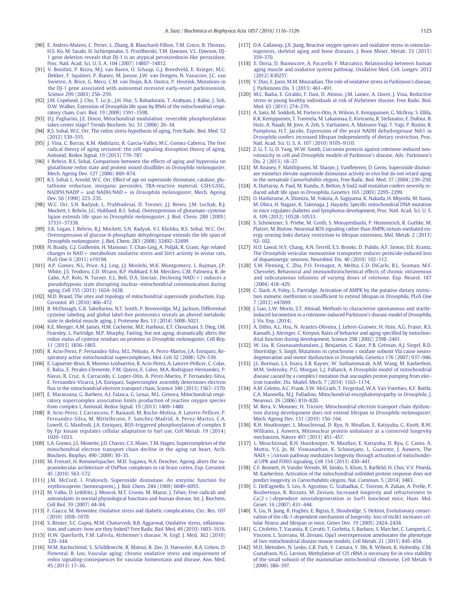- <span id="page-9-0"></span>[90] [E. Andres-Mateos, C. Perier, L. Zhang, B. Blanchard-Fillion, T.M. Greco, B. Thomas,](http://refhub.elsevier.com/S0005-2728(16)30065-2/rf0450) [H.S. Ko, M. Sasaki, H. Ischiropoulos, S. Przedborski, T.M. Dawson, V.L. Dawson, DJ-](http://refhub.elsevier.com/S0005-2728(16)30065-2/rf0450)[1 gene deletion reveals that DJ-1 is an atypical peroxiredoxin-like peroxidase,](http://refhub.elsevier.com/S0005-2728(16)30065-2/rf0450) [Proc. Natl. Acad. Sci. U. S. A. 104 \(2007\) 14807](http://refhub.elsevier.com/S0005-2728(16)30065-2/rf0450)–14812.
- [91] [V. Bonifati, P. Rizzu, M.J. van Baren, O. Schaap, G.J. Breedveld, E. Krieger, M.C.](http://refhub.elsevier.com/S0005-2728(16)30065-2/rf0455) [Dekker, F. Squitieri, P. Ibanez, M. Joosse, J.W. van Dongen, N. Vanacore, J.C. van](http://refhub.elsevier.com/S0005-2728(16)30065-2/rf0455) [Swieten, A. Brice, G. Meco, C.M. van Duijn, B.A. Oostra, P. Heutink, Mutations in](http://refhub.elsevier.com/S0005-2728(16)30065-2/rf0455) [the DJ-1 gene associated with autosomal recessive early-onset parkinsonism,](http://refhub.elsevier.com/S0005-2728(16)30065-2/rf0455) [Science 299 \(2003\) 256](http://refhub.elsevier.com/S0005-2728(16)30065-2/rf0455)–259.
- [92] [J.M. Copeland, J. Cho, T. Lo Jr., J.H. Hur, S. Bahadorani, T. Arabyan, J. Rabie, J. Soh,](http://refhub.elsevier.com/S0005-2728(16)30065-2/rf0460) D.W. Walker, Extension of Drosophila [life span by RNAi of the mitochondrial respi](http://refhub.elsevier.com/S0005-2728(16)30065-2/rf0460)[ratory chain, Curr. Biol. 19 \(2009\) 1591](http://refhub.elsevier.com/S0005-2728(16)30065-2/rf0460)–1598.
- [93] [D.J. Pagliarini, J.E. Dixon, Mitochondrial modulation: reversible phosphorylation](http://refhub.elsevier.com/S0005-2728(16)30065-2/rf0465) [takes center stage? Trends Biochem. Sci. 31 \(2006\) 26](http://refhub.elsevier.com/S0005-2728(16)30065-2/rf0465)–34.
- [94] [R.S. Sohal, W.C. Orr, The redox stress hypothesis of aging, Free Radic. Biol. Med. 52](http://refhub.elsevier.com/S0005-2728(16)30065-2/rf0470) [\(2012\) 539](http://refhub.elsevier.com/S0005-2728(16)30065-2/rf0470)–555.
- [95] [J. Vina, C. Borras, K.M. Abdelaziz, R. Garcia-Valles, M.C. Gomez-Cabrera, The free](http://refhub.elsevier.com/S0005-2728(16)30065-2/rf0475) [radical theory of aging revisited: the cell signaling disruption theory of aging,](http://refhub.elsevier.com/S0005-2728(16)30065-2/rf0475) [Antioxid. Redox Signal. 19 \(2013\) 779](http://refhub.elsevier.com/S0005-2728(16)30065-2/rf0475)–787.
- [96] [I. Rebrin, R.S. Sohal, Comparison between the effects of aging and hyperoxia on](http://refhub.elsevier.com/S0005-2728(16)30065-2/rf0480) [glutathione redox state and protein mixed disul](http://refhub.elsevier.com/S0005-2728(16)30065-2/rf0480)fides in Drosophila melanogaster, [Mech. Ageing Dev. 127 \(2006\) 869](http://refhub.elsevier.com/S0005-2728(16)30065-2/rf0480)–874.
- [97] [R.S. Sohal, L. Arnold, W.C. Orr, Effect of age on superoxide dismutase, catalase, glu](http://refhub.elsevier.com/S0005-2728(16)30065-2/rf0485)[tathione reductase, inorganic peroxides, TBA-reactive material, GSH/GSSG,](http://refhub.elsevier.com/S0005-2728(16)30065-2/rf0485) [NADPH/NADP+ and NADH/NAD+ in](http://refhub.elsevier.com/S0005-2728(16)30065-2/rf0485) Drosophila melanogaster, Mech. Ageing [Dev. 56 \(1990\) 223](http://refhub.elsevier.com/S0005-2728(16)30065-2/rf0485)–235.
- [98] [W.C. Orr, S.N. Radyuk, L. Prabhudesai, D. Toroser, J.J. Benes, J.M. Luchak, R.J.](http://refhub.elsevier.com/S0005-2728(16)30065-2/rf0490) [Mockett, I. Rebrin, J.G. Hubbard, R.S. Sohal, Overexpression of glutamate](http://refhub.elsevier.com/S0005-2728(16)30065-2/rf0490)–cysteine ligase extends life span in Drosophila melanogaster[, J. Biol. Chem. 280 \(2005\)](http://refhub.elsevier.com/S0005-2728(16)30065-2/rf0490) [37331](http://refhub.elsevier.com/S0005-2728(16)30065-2/rf0490)–37338.
- [99] [S.K. Legan, I. Rebrin, R.J. Mockett, S.N. Radyuk, V.I. Klichko, R.S. Sohal, W.C. Orr,](http://refhub.elsevier.com/S0005-2728(16)30065-2/rf0495) [Overexpression of glucose-6-phosphate dehydrogenase extends the life span of](http://refhub.elsevier.com/S0005-2728(16)30065-2/rf0495) Drosophila melanogaster[, J. Biol. Chem. 283 \(2008\) 32492](http://refhub.elsevier.com/S0005-2728(16)30065-2/rf0495)–32499.
- [100] [N. Braidy, G.J. Guillemin, H. Mansour, T. Chan-Ling, A. Poljak, R. Grant, Age related](http://refhub.elsevier.com/S0005-2728(16)30065-2/rf0500) [changes in NAD+ metabolism oxidative stress and Sirt1 activity in wistar rats,](http://refhub.elsevier.com/S0005-2728(16)30065-2/rf0500) [PLoS One 6 \(2011\) e19194](http://refhub.elsevier.com/S0005-2728(16)30065-2/rf0500).
- [101] [A.P. Gomes, N.L. Price, A.J. Ling, J.J. Moslehi, M.K. Montgomery, L. Rajman, J.P.](http://refhub.elsevier.com/S0005-2728(16)30065-2/rf0505) [White, J.S. Teodoro, C.D. Wrann, B.P. Hubbard, E.M. Mercken, C.M. Palmeira, R. de](http://refhub.elsevier.com/S0005-2728(16)30065-2/rf0505) [Cabo, A.P. Rolo, N. Turner, E.L. Bell, D.A. Sinclair, Declining NAD\(+\) induces a](http://refhub.elsevier.com/S0005-2728(16)30065-2/rf0505) [pseudohypoxic state disrupting nuclear](http://refhub.elsevier.com/S0005-2728(16)30065-2/rf0505)–mitochondrial communication during [aging, Cell 155 \(2013\) 1624](http://refhub.elsevier.com/S0005-2728(16)30065-2/rf0505)–1638.
- [102] [M.D. Brand, The sites and topology of mitochondrial superoxide production, Exp.](http://refhub.elsevier.com/S0005-2728(16)30065-2/rf0510) [Gerontol. 45 \(2010\) 466](http://refhub.elsevier.com/S0005-2728(16)30065-2/rf0510)–472.
- [103] [B. McDonagh, G.K. Sakellariou, N.T. Smith, P. Brownridge, M.J. Jackson, Differential](http://refhub.elsevier.com/S0005-2728(16)30065-2/rf0515) [cysteine labeling and global label-free proteomics reveals an altered metabolic](http://refhub.elsevier.com/S0005-2728(16)30065-2/rf0515) [state in skeletal muscle aging, J. Proteome Res. 13 \(2014\) 5008](http://refhub.elsevier.com/S0005-2728(16)30065-2/rf0515)–5021.
- [104] [K.E. Menger, A.M. James, H.M. Cocheme, M.E. Harbour, E.T. Chouchani, S. Ding, I.M.](http://refhub.elsevier.com/S0005-2728(16)30065-2/rf0520) [Fearnley, L. Partridge, M.P. Murphy, Fasting, but not aging, dramatically alters the](http://refhub.elsevier.com/S0005-2728(16)30065-2/rf0520) [redox status of cysteine residues on proteins in](http://refhub.elsevier.com/S0005-2728(16)30065-2/rf0520) Drosophila melanogaster, Cell Rep. [11 \(2015\) 1856](http://refhub.elsevier.com/S0005-2728(16)30065-2/rf0520)–1865.
- [105] [R. Acin-Perez, P. Fernandez-Silva, M.L. Peleato, A. Perez-Martos, J.A. Enriquez, Re](http://refhub.elsevier.com/S0005-2728(16)30065-2/rf0525)[spiratory active mitochondrial supercomplexes, Mol. Cell 32 \(2008\) 529](http://refhub.elsevier.com/S0005-2728(16)30065-2/rf0525)–539.
- [106] [E. Lapuente-Brun, R. Moreno-Loshuertos, R. Acin-Perez, A. Latorre-Pellicer, C. Colas,](http://refhub.elsevier.com/S0005-2728(16)30065-2/rf0530) [E. Balsa, E. Perales-Clemente, P.M. Quiros, E. Calvo, M.A. Rodriguez-Hernandez, P.](http://refhub.elsevier.com/S0005-2728(16)30065-2/rf0530) [Navas, R. Cruz, A. Carracedo, C. Lopez-Otin, A. Perez-Martos, P. Fernandez-Silva,](http://refhub.elsevier.com/S0005-2728(16)30065-2/rf0530) [E. Fernandez-Vizarra, J.A. Enriquez, Supercomplex assembly determines electron](http://refhub.elsevier.com/S0005-2728(16)30065-2/rf0530) fl[ux in the mitochondrial electron transport chain, Science 340 \(2013\) 1567](http://refhub.elsevier.com/S0005-2728(16)30065-2/rf0530)–1570.
- [107] [E. Maranzana, G. Barbero, A.I. Falasca, G. Lenaz, M.L. Genova, Mitochondrial respi](http://refhub.elsevier.com/S0005-2728(16)30065-2/rf0535)[ratory supercomplex association limits production of reactive oxygen species](http://refhub.elsevier.com/S0005-2728(16)30065-2/rf0535) [from complex I, Antioxid. Redox Signal. 19 \(2013\) 1469](http://refhub.elsevier.com/S0005-2728(16)30065-2/rf0535)–1480.
- [108] [R. Acin-Perez, I. Carrascoso, F. Baixauli, M. Roche-Molina, A. Latorre-Pellicer, P.](http://refhub.elsevier.com/S0005-2728(16)30065-2/rf0540) [Fernandez-Silva, M. Mittelbrunn, F. Sanchez-Madrid, A. Perez-Martos, C.A.](http://refhub.elsevier.com/S0005-2728(16)30065-2/rf0540) [Lowell, G. Manfredi, J.A. Enriquez, ROS-triggered phosphorylation of complex II](http://refhub.elsevier.com/S0005-2728(16)30065-2/rf0540) [by Fgr kinase regulates cellular adaptation to fuel use, Cell Metab. 19 \(2014\)](http://refhub.elsevier.com/S0005-2728(16)30065-2/rf0540) 1020–[1033.](http://refhub.elsevier.com/S0005-2728(16)30065-2/rf0540)
- [109] [L.A. Gomez, J.S. Monette, J.D. Chavez, C.S. Maier, T.M. Hagen, Supercomplexes of the](http://refhub.elsevier.com/S0005-2728(16)30065-2/rf0545) [mitochondrial electron transport chain decline in the aging rat heart, Arch.](http://refhub.elsevier.com/S0005-2728(16)30065-2/rf0545) [Biochem. Biophys. 490 \(2009\) 30](http://refhub.elsevier.com/S0005-2728(16)30065-2/rf0545)–35.
- [110] [M. Frenzel, H. Rommelspacher, M.D. Sugawa, N.A. Dencher, Ageing alters the su](http://refhub.elsevier.com/S0005-2728(16)30065-2/rf0550)[pramolecular architecture of OxPhos complexes in rat brain cortex, Exp. Gerontol.](http://refhub.elsevier.com/S0005-2728(16)30065-2/rf0550) [45 \(2010\) 563](http://refhub.elsevier.com/S0005-2728(16)30065-2/rf0550)–572.
- [111] [J.M. McCord, I. Fridovich, Superoxide dismutase. An enzymic function for](http://refhub.elsevier.com/S0005-2728(16)30065-2/rf0555) [erythrocuprein \(hemocuprein\), J. Biol. Chem. 244 \(1969\) 6049](http://refhub.elsevier.com/S0005-2728(16)30065-2/rf0555)–6055.
- [112] [M. Valko, D. Leibfritz, J. Moncol, M.T. Cronin, M. Mazur, J. Telser, Free radicals and](http://refhub.elsevier.com/S0005-2728(16)30065-2/rf0560) [antioxidants in normal physiological functions and human disease, Int. J. Biochem.](http://refhub.elsevier.com/S0005-2728(16)30065-2/rf0560) [Cell Biol. 39 \(2007\) 44](http://refhub.elsevier.com/S0005-2728(16)30065-2/rf0560)–84.
- [113] [F. Giacco, M. Brownlee, Oxidative stress and diabetic complications, Circ. Res. 107](http://refhub.elsevier.com/S0005-2728(16)30065-2/rf0565) [\(2010\) 1058](http://refhub.elsevier.com/S0005-2728(16)30065-2/rf0565)–1070.
- [114] [S. Reuter, S.C. Gupta, M.M. Chaturvedi, B.B. Aggarwal, Oxidative stress, in](http://refhub.elsevier.com/S0005-2728(16)30065-2/rf0570)flamma[tion, and cancer: how are they linked? Free Radic. Biol. Med. 49 \(2010\) 1603](http://refhub.elsevier.com/S0005-2728(16)30065-2/rf0570)–1616.
- [115] [H.W. Querfurth, F.M. LaFerla, Alzheimer's disease, N. Engl. J. Med. 362 \(2010\)](http://refhub.elsevier.com/S0005-2728(16)30065-2/rf0575) [329](http://refhub.elsevier.com/S0005-2728(16)30065-2/rf0575)–344.
- [116] [M.M. Bachschmid, S. Schildknecht, R. Matsui, R. Zee, D. Haeussler, R.A. Cohen, D.](http://refhub.elsevier.com/S0005-2728(16)30065-2/rf0580) [Pimental, B. Loo, Vascular aging: chronic oxidative stress and impairment of](http://refhub.elsevier.com/S0005-2728(16)30065-2/rf0580) [redox signaling-consequences for vascular homeostasis and disease, Ann. Med.](http://refhub.elsevier.com/S0005-2728(16)30065-2/rf0580) [45 \(2013\) 17](http://refhub.elsevier.com/S0005-2728(16)30065-2/rf0580)–36.
- [117] [D.A. Callaway, J.X. Jiang, Reactive oxygen species and oxidative stress in osteoclas](http://refhub.elsevier.com/S0005-2728(16)30065-2/rf0585)[togenesis, skeletal aging and bone diseases, J. Bone Miner. Metab. 33 \(2015\)](http://refhub.elsevier.com/S0005-2728(16)30065-2/rf0585) [359](http://refhub.elsevier.com/S0005-2728(16)30065-2/rf0585)–370.
- [118] [E. Doria, D. Buonocore, A. Focarelli, F. Marzatico, Relationship between human](http://refhub.elsevier.com/S0005-2728(16)30065-2/rf0590) [aging muscle and oxidative system pathway, Oxidative Med. Cell. Longev. 2012](http://refhub.elsevier.com/S0005-2728(16)30065-2/rf0590) [\(2012\) 830257](http://refhub.elsevier.com/S0005-2728(16)30065-2/rf0590).
- [119] [V. Dias, E. Junn, M.M. Mouradian, The role of oxidative stress in Parkinson's disease,](http://refhub.elsevier.com/S0005-2728(16)30065-2/rf0595) [J. Parkinsons Dis. 3 \(2013\) 461](http://refhub.elsevier.com/S0005-2728(16)30065-2/rf0595)–491.
- [120] [M.C. Badia, E. Giraldo, F. Dasi, D. Alonso, J.M. Lainez, A. Lloret, J. Vina, Reductive](http://refhub.elsevier.com/S0005-2728(16)30065-2/rf0600) [stress in young healthy individuals at risk of Alzheimer disease, Free Radic. Biol.](http://refhub.elsevier.com/S0005-2728(16)30065-2/rf0600) [Med. 63 \(2013\) 274](http://refhub.elsevier.com/S0005-2728(16)30065-2/rf0600)-279.
- [121] [A. Sanz, M. Soikkeli, M. Portero-Otin, A. Wilson, E. Kemppainen, G. McIlroy, S. Ellila,](http://refhub.elsevier.com/S0005-2728(16)30065-2/rf0605) [K.K. Kemppainen, T. Tuomela, M. Lakanmaa, E. Kiviranta, R. Stefanatos, E. Dufour, B.](http://refhub.elsevier.com/S0005-2728(16)30065-2/rf0605) [Hutz, A. Naudi, M. Jove, A. Zeb, S. Vartiainen, A. Matsuno-Yagi, T. Yagi, P. Rustin, R.](http://refhub.elsevier.com/S0005-2728(16)30065-2/rf0605) [Pamplona, H.T. Jacobs, Expression of the yeast NADH dehydrogenase Ndi1 in](http://refhub.elsevier.com/S0005-2728(16)30065-2/rf0605) Drosophila [confers increased lifespan independently of dietary restriction, Proc.](http://refhub.elsevier.com/S0005-2728(16)30065-2/rf0605) [Natl. Acad. Sci. U. S. A. 107 \(2010\) 9105](http://refhub.elsevier.com/S0005-2728(16)30065-2/rf0605)–9110.
- [122] [Z. Li, T. Li, D. Yang, W.W. Smith, Curcumin protects against rotenone-induced neu](http://refhub.elsevier.com/S0005-2728(16)30065-2/rf0610)rotoxicity in cell and Drosophila [models of Parkinson's disease, Adv. Parkinson's](http://refhub.elsevier.com/S0005-2728(16)30065-2/rf0610) [Dis. 2 \(2013\) 18](http://refhub.elsevier.com/S0005-2728(16)30065-2/rf0610)–27.
- [123] [M. Keaney, F. Matthijssens, M. Sharpe, J. Van](http://refhub.elsevier.com/S0005-2728(16)30065-2/rf0615)fleteren, D. Gems, Superoxide dismut[ase mimetics elevate superoxide dismutase activity in vivo but do not retard aging](http://refhub.elsevier.com/S0005-2728(16)30065-2/rf0615) in the nematode Caenorhabditis elegans[, Free Radic. Biol. Med. 37 \(2004\) 239](http://refhub.elsevier.com/S0005-2728(16)30065-2/rf0615)–250.
- [124] [A. Duttaroy, A. Paul, M. Kundu, A. Belton, A Sod2 null mutation confers severely re](http://refhub.elsevier.com/S0005-2728(16)30065-2/rf0620)duced adult life span in Drosophila[, Genetics 165 \(2003\) 2295](http://refhub.elsevier.com/S0005-2728(16)30065-2/rf0620)–2299.
- [125] [O. Hashizume, A. Shimizu, M. Yokota, A. Sugiyama, K. Nakada, H. Miyoshi, M. Itami,](http://refhub.elsevier.com/S0005-2728(16)30065-2/rf0625) [M. Ohira, H. Nagase, K. Takenaga, J. Hayashi, Speci](http://refhub.elsevier.com/S0005-2728(16)30065-2/rf0625)fic mitochondrial DNA mutation [in mice regulates diabetes and lymphoma development, Proc. Natl. Acad. Sci. U. S.](http://refhub.elsevier.com/S0005-2728(16)30065-2/rf0625) [A. 109 \(2012\) 10528](http://refhub.elsevier.com/S0005-2728(16)30065-2/rf0625)–10533.
- [126] [S. Schmeisser, S. Priebe, M. Groth, S. Monajembashi, P. Hemmerich, R. Guthke, M.](http://refhub.elsevier.com/S0005-2728(16)30065-2/rf0630) [Platzer, M. Ristow, Neuronal ROS signaling rather than AMPK/sirtuin-mediated en](http://refhub.elsevier.com/S0005-2728(16)30065-2/rf0630)[ergy sensing links dietary restriction to lifespan extension, Mol. Metab. 2 \(2013\)](http://refhub.elsevier.com/S0005-2728(16)30065-2/rf0630) 92–[102.](http://refhub.elsevier.com/S0005-2728(16)30065-2/rf0630)
- [127] [H.O. Lawal, H.Y. Chang, A.N. Terrell, E.S. Brooks, D. Pulido, A.F. Simon, D.E. Krantz,](http://refhub.elsevier.com/S0005-2728(16)30065-2/rf0635) The Drosophila [vesicular monoamine transporter reduces pesticide-induced loss](http://refhub.elsevier.com/S0005-2728(16)30065-2/rf0635) [of dopaminergic neurons, Neurobiol. Dis. 40 \(2010\) 102](http://refhub.elsevier.com/S0005-2728(16)30065-2/rf0635)–112.
- [128] [S.M. Fleming, C. Zhu, P.O. Fernagut, A. Mehta, C.D. DiCarlo, R.L. Seaman, M.F.](http://refhub.elsevier.com/S0005-2728(16)30065-2/rf0640) [Chesselet, Behavioral and immunohistochemical effects of chronic intravenous](http://refhub.elsevier.com/S0005-2728(16)30065-2/rf0640) [and subcutaneous infusions of varying doses of rotenone, Exp. Neurol. 187](http://refhub.elsevier.com/S0005-2728(16)30065-2/rf0640) [\(2004\) 418](http://refhub.elsevier.com/S0005-2728(16)30065-2/rf0640)–429.
- [129] [C. Slack, A. Foley, L. Partridge, Activation of AMPK by the putative dietary restric](http://refhub.elsevier.com/S0005-2728(16)30065-2/rf0645)[tion mimetic metformin is insuf](http://refhub.elsevier.com/S0005-2728(16)30065-2/rf0645)ficient to extend lifespan in Drosophila, PLoS One [7 \(2012\) e47699.](http://refhub.elsevier.com/S0005-2728(16)30065-2/rf0645)
- [130] [J. Liao, L.W. Morin, S.T. Ahmad, Methods to characterize spontaneous and startle](http://refhub.elsevier.com/S0005-2728(16)30065-2/rf0650)[induced locomotion in a rotenone-induced Parkinson's disease model of](http://refhub.elsevier.com/S0005-2728(16)30065-2/rf0650) Drosophila, [J. Vis. Exp. \(2014\)](http://refhub.elsevier.com/S0005-2728(16)30065-2/rf0650).
- [131] [A. Dillin, A.L. Hsu, N. Arantes-Oliveira, J. Lehrer-Graiwer, H. Hsin, A.G. Fraser, R.S.](http://refhub.elsevier.com/S0005-2728(16)30065-2/rf0655) [Kamath, J. Ahringer, C. Kenyon, Rates of behavior and aging speci](http://refhub.elsevier.com/S0005-2728(16)30065-2/rf0655)fied by mitochon[drial function during development, Science 298 \(2002\) 2398](http://refhub.elsevier.com/S0005-2728(16)30065-2/rf0655)–2401.
- [132] [W. Liu, R. Gnanasambandam, J. Benjamin, G. Kaur, P.B. Getman, A.J. Siegel, R.D.](http://refhub.elsevier.com/S0005-2728(16)30065-2/rf0660) [Shortridge, S. Singh, Mutations in cytochrome c oxidase subunit VIa cause neuro](http://refhub.elsevier.com/S0005-2728(16)30065-2/rf0660)[degeneration and motor dysfunction in](http://refhub.elsevier.com/S0005-2728(16)30065-2/rf0660) Drosophila, Genetics 176 (2007) 937–946.
- [133] [J.L. Burman, L.S. Itsara, E.B. Kayser, W. Suthammarak, A.M. Wang, M. Kaeberlein,](http://refhub.elsevier.com/S0005-2728(16)30065-2/rf0665) [M.M. Sedensky, P.G. Morgan, L.J. Pallanck, A](http://refhub.elsevier.com/S0005-2728(16)30065-2/rf0665) Drosophila model of mitochondrial [disease caused by a complex I mutation that uncouples proton pumping from elec](http://refhub.elsevier.com/S0005-2728(16)30065-2/rf0665)[tron transfer, Dis. Model. Mech. 7 \(2014\) 1165](http://refhub.elsevier.com/S0005-2728(16)30065-2/rf0665)–1174.
- [134] [A.M. Celotto, A.C. Frank, S.W. McGrath, T. Fergestad, W.A. Van Voorhies, K.F. Buttle,](http://refhub.elsevier.com/S0005-2728(16)30065-2/rf0670) [C.A. Mannella, M.J. Palladino, Mitochondrial encephalomyopathy in](http://refhub.elsevier.com/S0005-2728(16)30065-2/rf0670) Drosophila, J. [Neurosci. 26 \(2006\) 810](http://refhub.elsevier.com/S0005-2728(16)30065-2/rf0670)–820.
- [135] [M. Rera, V. Monnier, H. Tricoire, Mitochondrial electron transport chain dysfunc](http://refhub.elsevier.com/S0005-2728(16)30065-2/rf0675)[tion during development does not extend lifespan in](http://refhub.elsevier.com/S0005-2728(16)30065-2/rf0675) Drosophila melanogaster, [Mech. Ageing Dev. 131 \(2010\) 156](http://refhub.elsevier.com/S0005-2728(16)30065-2/rf0675)–164.
- [136] [R.H. Houtkooper, L. Mouchiroud, D. Ryu, N. Moullan, E. Katsyuba, G. Knott, R.W.](http://refhub.elsevier.com/S0005-2728(16)30065-2/rf0680) [Williams, J. Auwerx, Mitonuclear protein imbalance as a conserved longevity](http://refhub.elsevier.com/S0005-2728(16)30065-2/rf0680) [mechanism, Nature 497 \(2013\) 451](http://refhub.elsevier.com/S0005-2728(16)30065-2/rf0680)–457.
- [137] [L. Mouchiroud, R.H. Houtkooper, N. Moullan, E. Katsyuba, D. Ryu, C. Canto, A.](http://refhub.elsevier.com/S0005-2728(16)30065-2/rf0685) [Mottis, Y.S. Jo, M. Viswanathan, K. Schoonjans, L. Guarente, J. Auwerx, The](http://refhub.elsevier.com/S0005-2728(16)30065-2/rf0685) [NAD\(+\)/sirtuin pathway modulates longevity through activation of mitochondri](http://refhub.elsevier.com/S0005-2728(16)30065-2/rf0685)[al UPR and FOXO signaling, Cell 154 \(2013\) 430](http://refhub.elsevier.com/S0005-2728(16)30065-2/rf0685)–441.
- [138] [C.F. Bennett, H. Vander Wende, M. Simko, S. Klum, S. Bar](http://refhub.elsevier.com/S0005-2728(16)30065-2/rf0690)field, H. Choi, V.V. Pineda, [M. Kaeberlein, Activation of the mitochondrial unfolded protein response does not](http://refhub.elsevier.com/S0005-2728(16)30065-2/rf0690) predict longevity in Caenorhabditis elegans[, Nat. Commun. 5 \(2014\) 3483.](http://refhub.elsevier.com/S0005-2728(16)30065-2/rf0690)
- [139] [C. Dell'agnello, S. Leo, A. Agostino, G. Szabadkai, C. Tiveron, A. Zulian, A. Prelle, P.](http://refhub.elsevier.com/S0005-2728(16)30065-2/rf0695) [Roubertoux, R. Rizzuto, M. Zeviani, Increased longevity and refractoriness to](http://refhub.elsevier.com/S0005-2728(16)30065-2/rf0695)  $Ca(2+)$ -dependent neurodegeneration in Surf1 knockout mice, Hum. Mol. [Genet. 16 \(2007\) 431](http://refhub.elsevier.com/S0005-2728(16)30065-2/rf0695)–444.
- [140] [X. Liu, N. Jiang, B. Hughes, E. Bigras, E. Shoubridge, S. Hekimi, Evolutionary conser](http://refhub.elsevier.com/S0005-2728(16)30065-2/rf0700)[vation of the clk-1-dependent mechanism of longevity: loss of mclk1 increases cel](http://refhub.elsevier.com/S0005-2728(16)30065-2/rf0700)lular fi[tness and lifespan in mice, Genes Dev. 19 \(2005\) 2424](http://refhub.elsevier.com/S0005-2728(16)30065-2/rf0700)–2434.
- [141] [G. Civiletto, T. Varanita, R. Cerutti, T. Gorletta, S. Barbaro, S. Marchet, C. Lamperti, C.](http://refhub.elsevier.com/S0005-2728(16)30065-2/rf0705) [Viscomi, L. Scorrano, M. Zeviani, Opa1 overexpression ameliorates the phenotype](http://refhub.elsevier.com/S0005-2728(16)30065-2/rf0705) [of two mitochondrial disease mouse models, Cell Metab. 21 \(2015\) 845](http://refhub.elsevier.com/S0005-2728(16)30065-2/rf0705)–854.
- [142] [M.D. Metodiev, N. Lesko, C.B. Park, Y. Camara, Y. Shi, R. Wibom, K. Hultenby, C.M.](http://refhub.elsevier.com/S0005-2728(16)30065-2/rf0710) [Gustafsson, N.G. Larsson, Methylation of 12S rRNA is necessary for in vivo stability](http://refhub.elsevier.com/S0005-2728(16)30065-2/rf0710) [of the small subunit of the mammalian mitochondrial ribosome, Cell Metab. 9](http://refhub.elsevier.com/S0005-2728(16)30065-2/rf0710) [\(2009\) 386](http://refhub.elsevier.com/S0005-2728(16)30065-2/rf0710)–397.